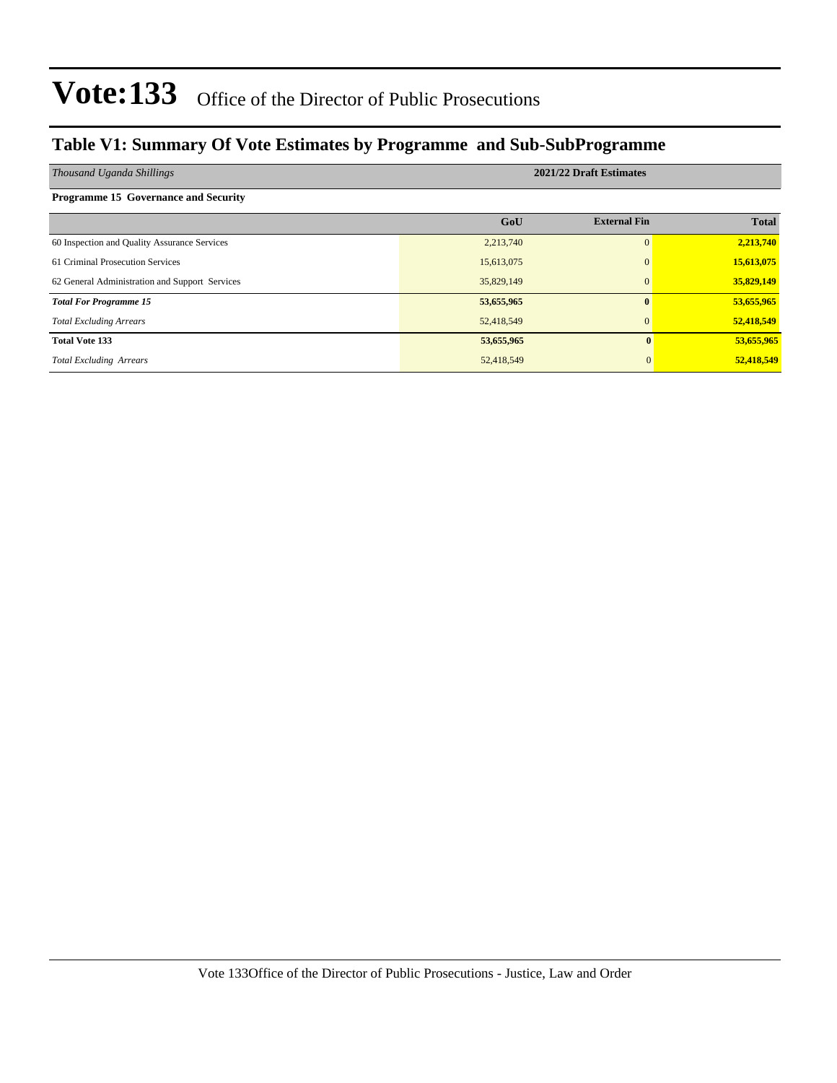### **Table V1: Summary Of Vote Estimates by Programme and Sub-SubProgramme**

| Thousand Uganda Shillings                      | 2021/22 Draft Estimates |                     |              |  |  |  |  |
|------------------------------------------------|-------------------------|---------------------|--------------|--|--|--|--|
| <b>Programme 15 Governance and Security</b>    |                         |                     |              |  |  |  |  |
|                                                | GoU                     | <b>External Fin</b> | <b>Total</b> |  |  |  |  |
| 60 Inspection and Quality Assurance Services   | 2,213,740               | $\Omega$            | 2,213,740    |  |  |  |  |
| 61 Criminal Prosecution Services               | 15,613,075              | $\Omega$            | 15,613,075   |  |  |  |  |
| 62 General Administration and Support Services | 35,829,149              | $\Omega$            | 35,829,149   |  |  |  |  |
| <b>Total For Programme 15</b>                  | 53,655,965              | 0                   | 53,655,965   |  |  |  |  |
| <b>Total Excluding Arrears</b>                 | 52,418,549              | $\overline{0}$      | 52,418,549   |  |  |  |  |
| <b>Total Vote 133</b>                          | 53,655,965              | $\mathbf{0}$        | 53,655,965   |  |  |  |  |
| <b>Total Excluding Arrears</b>                 | 52,418,549              |                     | 52,418,549   |  |  |  |  |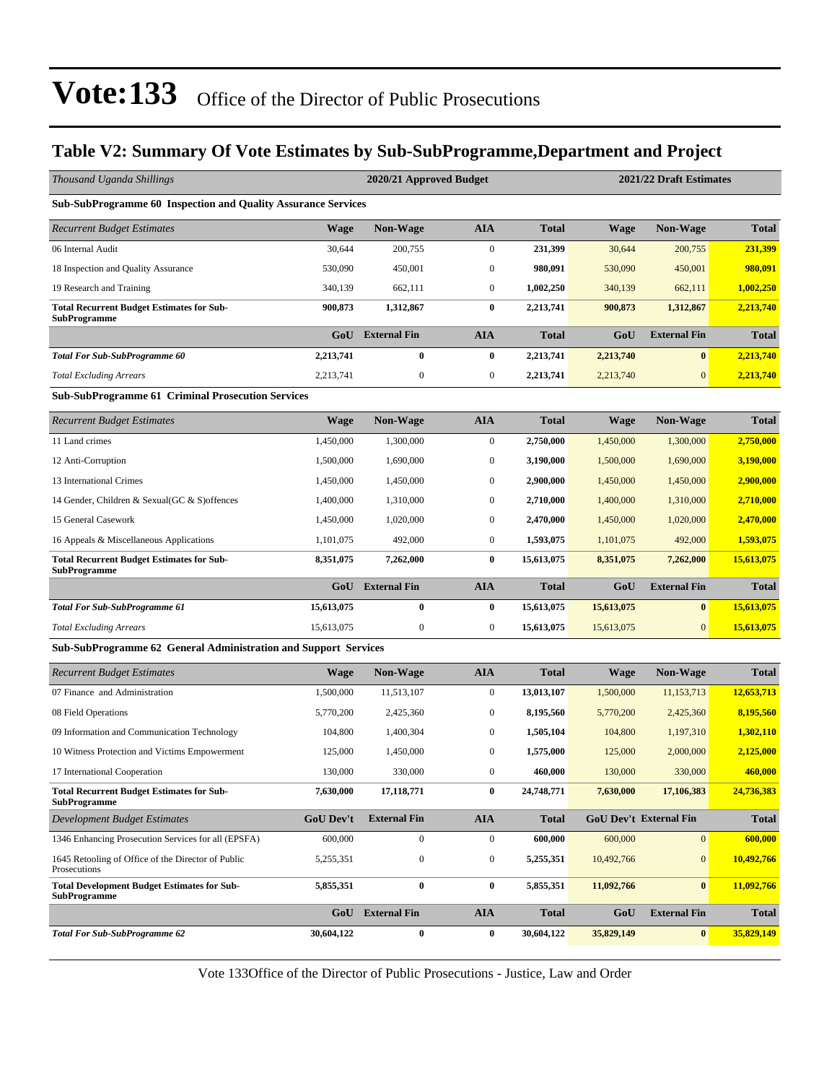### **Table V2: Summary Of Vote Estimates by Sub-SubProgramme,Department and Project**

| Thousand Uganda Shillings                                               |             | 2020/21 Approved Budget |                  |              | 2021/22 Draft Estimates |                               |              |  |
|-------------------------------------------------------------------------|-------------|-------------------------|------------------|--------------|-------------------------|-------------------------------|--------------|--|
| <b>Sub-SubProgramme 60 Inspection and Quality Assurance Services</b>    |             |                         |                  |              |                         |                               |              |  |
| <b>Recurrent Budget Estimates</b>                                       | <b>Wage</b> | <b>Non-Wage</b>         | <b>AIA</b>       | <b>Total</b> | <b>Wage</b>             | <b>Non-Wage</b>               | <b>Total</b> |  |
| 06 Internal Audit                                                       | 30,644      | 200,755                 | $\boldsymbol{0}$ | 231,399      | 30,644                  | 200,755                       | 231,399      |  |
| 18 Inspection and Quality Assurance                                     | 530,090     | 450,001                 | $\boldsymbol{0}$ | 980,091      | 530,090                 | 450,001                       | 980,091      |  |
| 19 Research and Training                                                | 340,139     | 662,111                 | $\boldsymbol{0}$ | 1,002,250    | 340,139                 | 662,111                       | 1,002,250    |  |
| <b>Total Recurrent Budget Estimates for Sub-</b><br>SubProgramme        | 900,873     | 1,312,867               | $\bf{0}$         | 2,213,741    | 900,873                 | 1,312,867                     | 2,213,740    |  |
|                                                                         | GoU         | <b>External Fin</b>     | <b>AIA</b>       | <b>Total</b> | GoU                     | <b>External Fin</b>           | <b>Total</b> |  |
| <b>Total For Sub-SubProgramme 60</b>                                    | 2,213,741   | $\bf{0}$                | $\bf{0}$         | 2,213,741    | 2,213,740               | $\mathbf{0}$                  | 2,213,740    |  |
| <b>Total Excluding Arrears</b>                                          | 2,213,741   | $\boldsymbol{0}$        | $\boldsymbol{0}$ | 2,213,741    | 2,213,740               | $\mathbf{0}$                  | 2,213,740    |  |
| <b>Sub-SubProgramme 61 Criminal Prosecution Services</b>                |             |                         |                  |              |                         |                               |              |  |
| <b>Recurrent Budget Estimates</b>                                       | <b>Wage</b> | <b>Non-Wage</b>         | <b>AIA</b>       | <b>Total</b> | <b>Wage</b>             | <b>Non-Wage</b>               | <b>Total</b> |  |
| 11 Land crimes                                                          | 1,450,000   | 1,300,000               | $\boldsymbol{0}$ | 2,750,000    | 1,450,000               | 1,300,000                     | 2,750,000    |  |
| 12 Anti-Corruption                                                      | 1,500,000   | 1,690,000               | $\boldsymbol{0}$ | 3,190,000    | 1,500,000               | 1,690,000                     | 3,190,000    |  |
| 13 International Crimes                                                 | 1,450,000   | 1,450,000               | $\boldsymbol{0}$ | 2,900,000    | 1,450,000               | 1,450,000                     | 2,900,000    |  |
| 14 Gender, Children & Sexual(GC & S) offences                           | 1,400,000   | 1,310,000               | $\boldsymbol{0}$ | 2,710,000    | 1,400,000               | 1,310,000                     | 2,710,000    |  |
| 15 General Casework                                                     | 1.450,000   | 1,020,000               | $\mathbf{0}$     | 2,470,000    | 1,450,000               | 1,020,000                     | 2,470,000    |  |
| 16 Appeals & Miscellaneous Applications                                 | 1,101,075   | 492,000                 | $\boldsymbol{0}$ | 1,593,075    | 1,101,075               | 492,000                       | 1,593,075    |  |
| <b>Total Recurrent Budget Estimates for Sub-</b><br><b>SubProgramme</b> | 8,351,075   | 7,262,000               | $\bf{0}$         | 15,613,075   | 8,351,075               | 7,262,000                     | 15,613,075   |  |
|                                                                         | GoU         | <b>External Fin</b>     | <b>AIA</b>       | <b>Total</b> | GoU                     | <b>External Fin</b>           | <b>Total</b> |  |
| <b>Total For Sub-SubProgramme 61</b>                                    | 15,613,075  | 0                       | $\bf{0}$         | 15,613,075   | 15,613,075              | $\bf{0}$                      | 15,613,075   |  |
| <b>Total Excluding Arrears</b>                                          | 15,613,075  | $\boldsymbol{0}$        | $\mathbf{0}$     | 15,613,075   | 15,613,075              | $\overline{0}$                | 15,613,075   |  |
| Sub-SubProgramme 62 General Administration and Support Services         |             |                         |                  |              |                         |                               |              |  |
| <b>Recurrent Budget Estimates</b>                                       | <b>Wage</b> | Non-Wage                | <b>AIA</b>       | <b>Total</b> | <b>Wage</b>             | <b>Non-Wage</b>               | <b>Total</b> |  |
| 07 Finance and Administration                                           | 1,500,000   | 11,513,107              | $\mathbf{0}$     | 13,013,107   | 1,500,000               | 11,153,713                    | 12,653,713   |  |
| 08 Field Operations                                                     | 5,770,200   | 2,425,360               | $\mathbf{0}$     | 8,195,560    | 5,770,200               | 2,425,360                     | 8,195,560    |  |
| 09 Information and Communication Technology                             | 104,800     | 1,400,304               | $\boldsymbol{0}$ | 1,505,104    | 104,800                 | 1,197,310                     | 1,302,110    |  |
| 10 Witness Protection and Victims Empowerment                           | 125,000     | 1,450,000               | $\mathbf{0}$     | 1,575,000    | 125,000                 | 2,000,000                     | 2,125,000    |  |
| 17 International Cooperation                                            | 130,000     | 330,000                 | $\boldsymbol{0}$ | 460,000      | 130,000                 | 330,000                       | 460,000      |  |
| <b>Total Recurrent Budget Estimates for Sub-</b><br>SubProgramme        | 7,630,000   | 17,118,771              | $\bf{0}$         | 24,748,771   | 7,630,000               | 17,106,383                    | 24,736,383   |  |
| <b>Development Budget Estimates</b>                                     | GoU Dev't   | <b>External Fin</b>     | <b>AIA</b>       | <b>Total</b> |                         | <b>GoU Dev't External Fin</b> | <b>Total</b> |  |
| 1346 Enhancing Prosecution Services for all (EPSFA)                     | 600,000     | $\boldsymbol{0}$        | $\boldsymbol{0}$ | 600,000      | 600,000                 | 0                             | 600,000      |  |
| 1645 Retooling of Office of the Director of Public<br>Prosecutions      | 5,255,351   | 0                       | $\boldsymbol{0}$ | 5,255,351    | 10,492,766              | $\mathbf{0}$                  | 10,492,766   |  |
| <b>Total Development Budget Estimates for Sub-</b><br>SubProgramme      | 5,855,351   | $\bf{0}$                | $\bf{0}$         | 5,855,351    | 11,092,766              | $\bf{0}$                      | 11,092,766   |  |
|                                                                         | GoU         | <b>External Fin</b>     | <b>AIA</b>       | <b>Total</b> | GoU                     | <b>External Fin</b>           | <b>Total</b> |  |
| <b>Total For Sub-SubProgramme 62</b>                                    | 30,604,122  | $\boldsymbol{0}$        | $\bf{0}$         | 30,604,122   | 35,829,149              | $\boldsymbol{0}$              | 35,829,149   |  |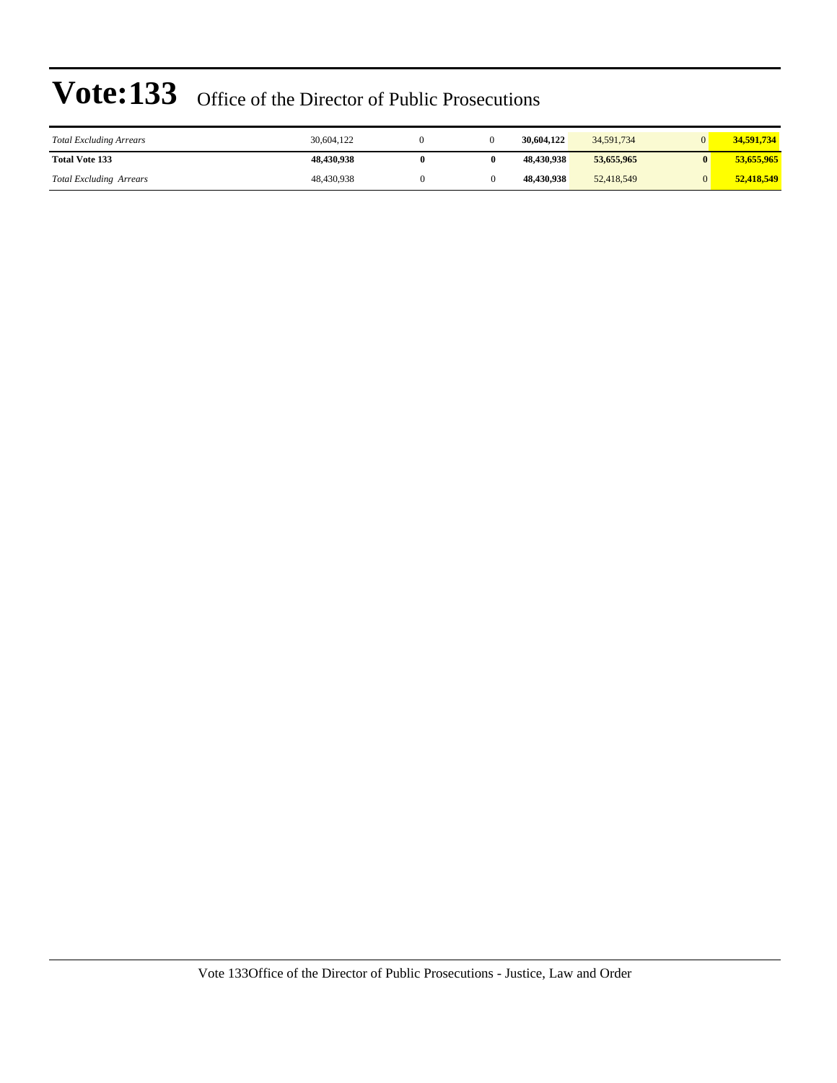| <b>Total Excluding Arrears</b> | 30.604.122 |   | 30,604,122 | 34,591,734 | 34.591.734 |
|--------------------------------|------------|---|------------|------------|------------|
| <b>Total Vote 133</b>          | 48.430.938 | 0 | 48.430.938 | 53,655,965 | 53,655,965 |
| <b>Total Excluding Arrears</b> | 48,430,938 |   | 48.430.938 | 52,418,549 | 52,418,549 |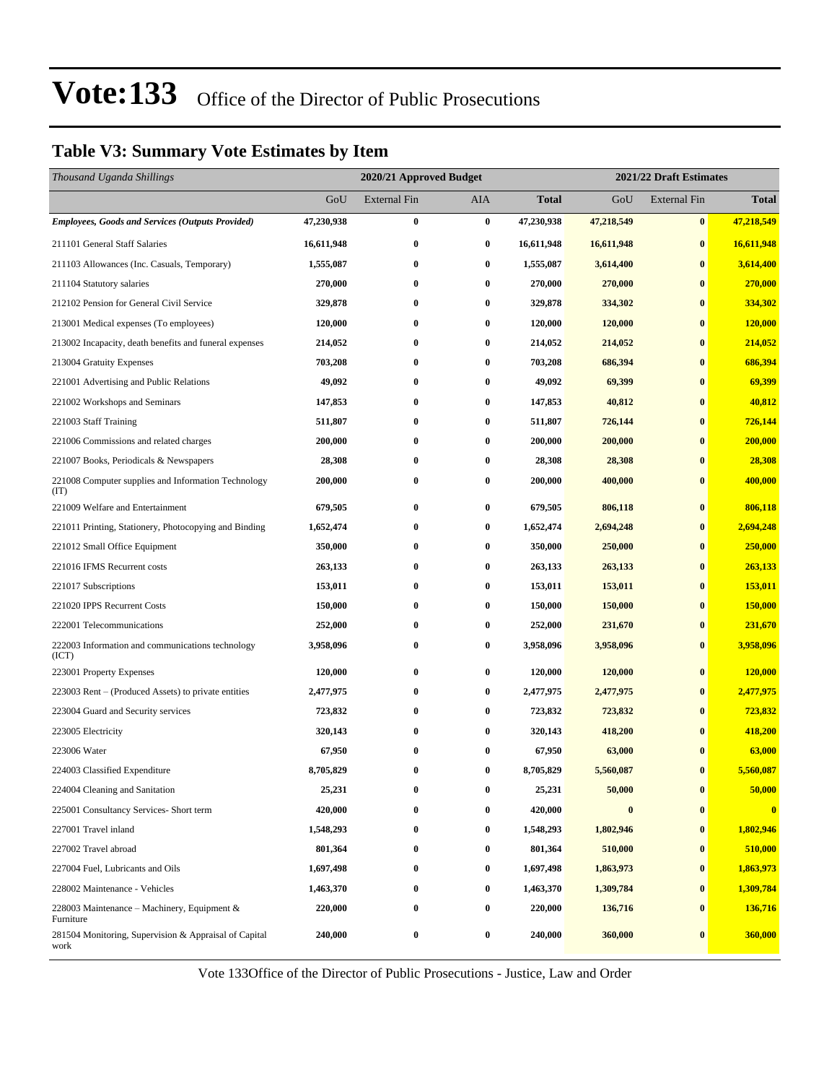### **Table V3: Summary Vote Estimates by Item**

| Thousand Uganda Shillings                                     |            | 2020/21 Approved Budget |                  |            | 2021/22 Draft Estimates |                     |                |  |
|---------------------------------------------------------------|------------|-------------------------|------------------|------------|-------------------------|---------------------|----------------|--|
|                                                               | GoU        | <b>External Fin</b>     | AIA              | Total      | GoU                     | <b>External Fin</b> | <b>Total</b>   |  |
| <b>Employees, Goods and Services (Outputs Provided)</b>       | 47,230,938 | $\bf{0}$                | $\bf{0}$         | 47,230,938 | 47,218,549              | $\bf{0}$            | 47,218,549     |  |
| 211101 General Staff Salaries                                 | 16,611,948 | $\bf{0}$                | $\bf{0}$         | 16,611,948 | 16,611,948              | $\bf{0}$            | 16,611,948     |  |
| 211103 Allowances (Inc. Casuals, Temporary)                   | 1,555,087  | $\bf{0}$                | $\bf{0}$         | 1,555,087  | 3,614,400               | $\bf{0}$            | 3,614,400      |  |
| 211104 Statutory salaries                                     | 270,000    | $\bf{0}$                | $\bf{0}$         | 270,000    | 270,000                 | $\bf{0}$            | 270,000        |  |
| 212102 Pension for General Civil Service                      | 329,878    | $\bf{0}$                | $\bf{0}$         | 329,878    | 334,302                 | $\bf{0}$            | 334,302        |  |
| 213001 Medical expenses (To employees)                        | 120,000    | $\bf{0}$                | $\bf{0}$         | 120,000    | 120,000                 | $\bf{0}$            | 120,000        |  |
| 213002 Incapacity, death benefits and funeral expenses        | 214,052    | $\bf{0}$                | $\bf{0}$         | 214,052    | 214,052                 | $\bf{0}$            | 214,052        |  |
| 213004 Gratuity Expenses                                      | 703,208    | $\bf{0}$                | $\bf{0}$         | 703,208    | 686,394                 | $\bf{0}$            | 686,394        |  |
| 221001 Advertising and Public Relations                       | 49,092     | $\bf{0}$                | $\bf{0}$         | 49,092     | 69,399                  | $\bf{0}$            | 69,399         |  |
| 221002 Workshops and Seminars                                 | 147,853    | $\bf{0}$                | $\bf{0}$         | 147,853    | 40,812                  | $\bf{0}$            | 40,812         |  |
| 221003 Staff Training                                         | 511,807    | $\bf{0}$                | $\bf{0}$         | 511,807    | 726,144                 | $\bf{0}$            | 726,144        |  |
| 221006 Commissions and related charges                        | 200,000    | $\bf{0}$                | $\bf{0}$         | 200,000    | 200,000                 | $\bf{0}$            | 200,000        |  |
| 221007 Books, Periodicals & Newspapers                        | 28,308     | $\bf{0}$                | $\bf{0}$         | 28,308     | 28,308                  | $\bf{0}$            | 28,308         |  |
| 221008 Computer supplies and Information Technology<br>(TT)   | 200,000    | $\bf{0}$                | $\bf{0}$         | 200,000    | 400,000                 | $\bf{0}$            | 400,000        |  |
| 221009 Welfare and Entertainment                              | 679,505    | $\bf{0}$                | $\boldsymbol{0}$ | 679,505    | 806,118                 | $\bf{0}$            | 806,118        |  |
| 221011 Printing, Stationery, Photocopying and Binding         | 1,652,474  | $\bf{0}$                | $\bf{0}$         | 1,652,474  | 2,694,248               | $\bf{0}$            | 2,694,248      |  |
| 221012 Small Office Equipment                                 | 350,000    | $\bf{0}$                | $\bf{0}$         | 350,000    | 250,000                 | $\bf{0}$            | 250,000        |  |
| 221016 IFMS Recurrent costs                                   | 263,133    | $\bf{0}$                | $\bf{0}$         | 263,133    | 263,133                 | $\bf{0}$            | 263,133        |  |
| 221017 Subscriptions                                          | 153,011    | $\bf{0}$                | $\bf{0}$         | 153,011    | 153,011                 | $\bf{0}$            | 153,011        |  |
| 221020 IPPS Recurrent Costs                                   | 150,000    | $\bf{0}$                | $\bf{0}$         | 150,000    | 150,000                 | $\bf{0}$            | 150,000        |  |
| 222001 Telecommunications                                     | 252,000    | $\bf{0}$                | $\bf{0}$         | 252,000    | 231,670                 | $\bf{0}$            | 231,670        |  |
| 222003 Information and communications technology<br>(ICT)     | 3,958,096  | $\bf{0}$                | 0                | 3,958,096  | 3,958,096               | $\bf{0}$            | 3,958,096      |  |
| 223001 Property Expenses                                      | 120,000    | $\bf{0}$                | $\bf{0}$         | 120,000    | 120,000                 | $\bf{0}$            | <b>120,000</b> |  |
| 223003 Rent – (Produced Assets) to private entities           | 2,477,975  | $\bf{0}$                | $\bf{0}$         | 2,477,975  | 2,477,975               | $\bf{0}$            | 2,477,975      |  |
| 223004 Guard and Security services                            | 723,832    | $\bf{0}$                | $\bf{0}$         | 723,832    | 723,832                 | $\bf{0}$            | 723,832        |  |
| 223005 Electricity                                            | 320,143    | $\bf{0}$                | $\bf{0}$         | 320,143    | 418,200                 | $\bf{0}$            | 418,200        |  |
| 223006 Water                                                  | 67,950     | $\bf{0}$                | $\bf{0}$         | 67,950     | 63,000                  | $\bf{0}$            | 63,000         |  |
| 224003 Classified Expenditure                                 | 8,705,829  | $\bf{0}$                | $\bf{0}$         | 8,705,829  | 5,560,087               | $\bf{0}$            | 5,560,087      |  |
| 224004 Cleaning and Sanitation                                | 25,231     | 0                       | $\bf{0}$         | 25,231     | 50,000                  | $\bf{0}$            | 50,000         |  |
| 225001 Consultancy Services- Short term                       | 420,000    | $\bf{0}$                | $\bf{0}$         | 420,000    | $\bf{0}$                | $\bf{0}$            | $\mathbf{0}$   |  |
| 227001 Travel inland                                          | 1,548,293  | $\bf{0}$                | 0                | 1,548,293  | 1,802,946               | $\bf{0}$            | 1,802,946      |  |
| 227002 Travel abroad                                          | 801,364    | $\bf{0}$                | 0                | 801,364    | 510,000                 | $\bf{0}$            | 510,000        |  |
| 227004 Fuel, Lubricants and Oils                              | 1,697,498  | $\bf{0}$                | 0                | 1,697,498  | 1,863,973               | $\bf{0}$            | 1,863,973      |  |
| 228002 Maintenance - Vehicles                                 | 1,463,370  | $\bf{0}$                | $\bf{0}$         | 1,463,370  | 1,309,784               | $\bf{0}$            | 1,309,784      |  |
| 228003 Maintenance – Machinery, Equipment $\&$<br>Furniture   | 220,000    | $\bf{0}$                | 0                | 220,000    | 136,716                 | $\bf{0}$            | 136,716        |  |
| 281504 Monitoring, Supervision & Appraisal of Capital<br>work | 240,000    | $\bf{0}$                | $\bf{0}$         | 240,000    | 360,000                 | $\bf{0}$            | 360,000        |  |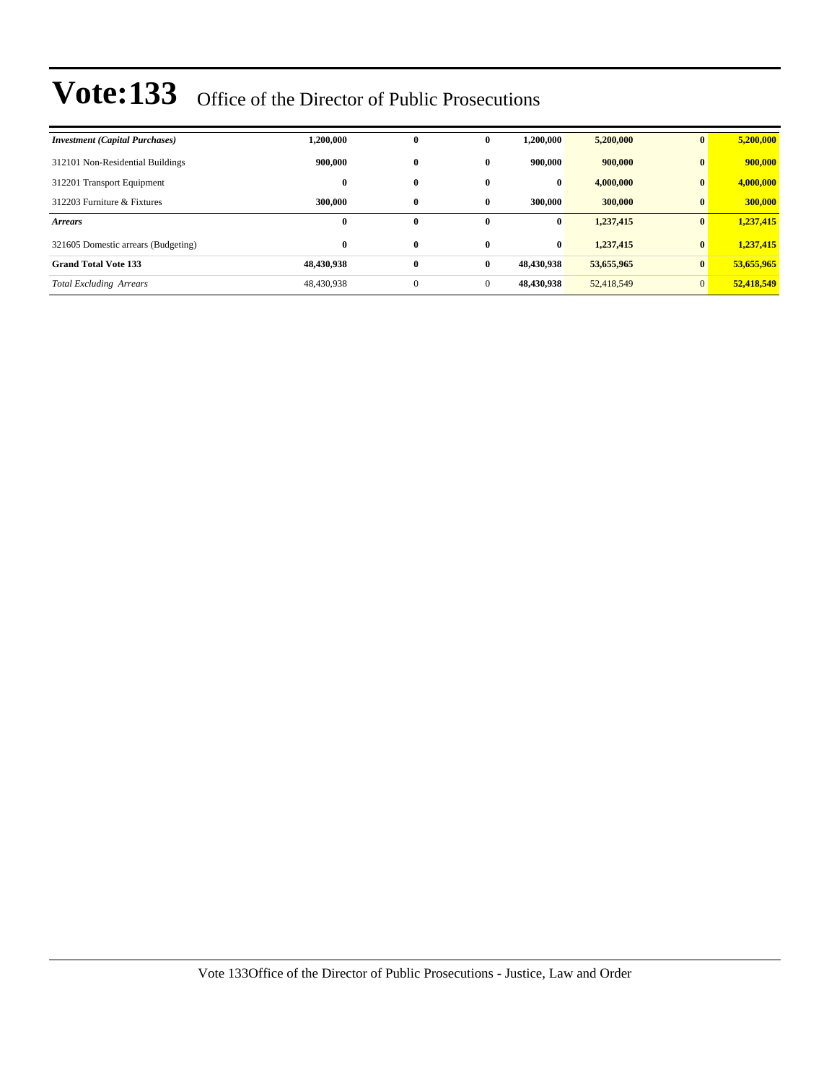| <b>Investment</b> (Capital Purchases) | 1,200,000  | $\bf{0}$     | $\mathbf{0}$ | 1.200.000  | 5,200,000  | $\mathbf{0}$   | 5,200,000  |
|---------------------------------------|------------|--------------|--------------|------------|------------|----------------|------------|
| 312101 Non-Residential Buildings      | 900,000    | $\bf{0}$     | $\mathbf{0}$ | 900,000    | 900,000    | $\mathbf{0}$   | 900,000    |
| 312201 Transport Equipment            | $\bf{0}$   | $\bf{0}$     | $\bf{0}$     | $\bf{0}$   | 4,000,000  | $\bf{0}$       | 4,000,000  |
| 312203 Furniture & Fixtures           | 300,000    | $\bf{0}$     | $\mathbf{0}$ | 300,000    | 300,000    | $\bf{0}$       | 300,000    |
| <b>Arrears</b>                        | $\bf{0}$   | $\bf{0}$     | $\mathbf{0}$ | $\bf{0}$   | 1,237,415  | $\mathbf{0}$   | 1,237,415  |
| 321605 Domestic arrears (Budgeting)   | $\bf{0}$   | $\bf{0}$     | $\mathbf{0}$ | $\bf{0}$   | 1,237,415  | $\mathbf{0}$   | 1,237,415  |
| <b>Grand Total Vote 133</b>           | 48,430,938 | $\bf{0}$     | $\bf{0}$     | 48.430.938 | 53,655,965 | $\bf{0}$       | 53,655,965 |
| <b>Total Excluding Arrears</b>        | 48,430,938 | $\mathbf{0}$ | $\mathbf{0}$ | 48,430,938 | 52,418,549 | $\overline{0}$ | 52,418,549 |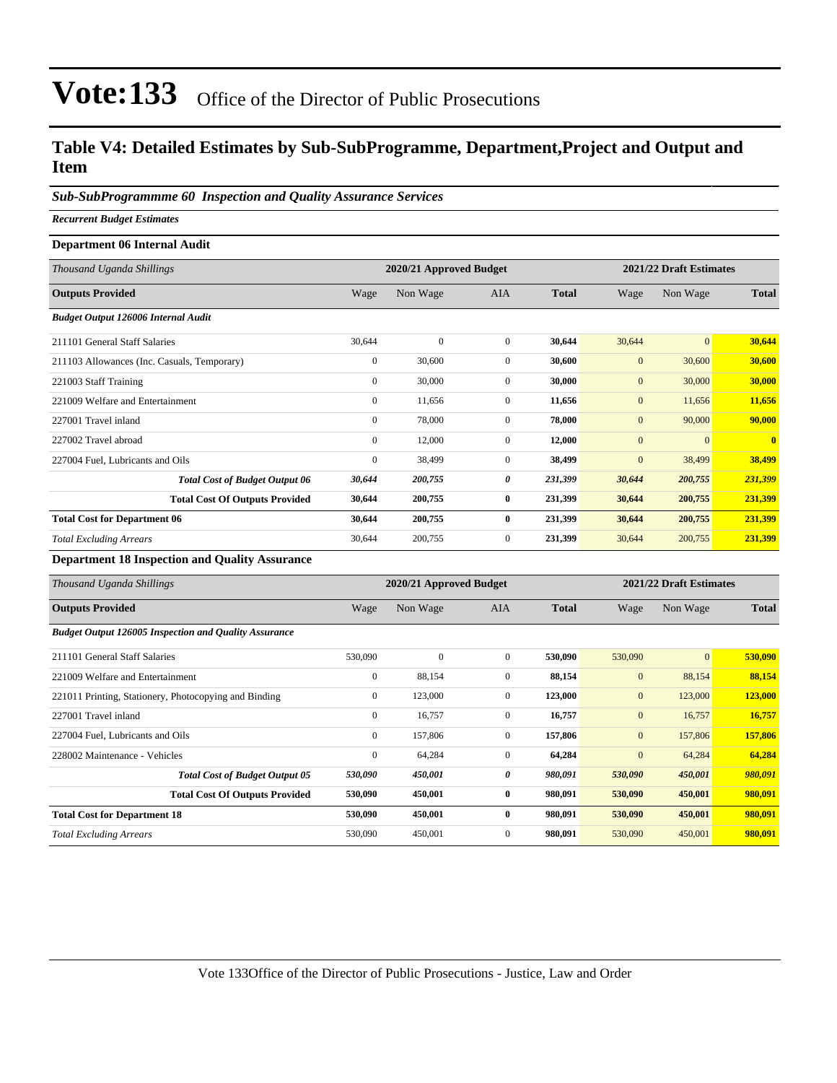### **Table V4: Detailed Estimates by Sub-SubProgramme, Department,Project and Output and Item**

### *Sub-SubProgrammme 60 Inspection and Quality Assurance Services*

*Recurrent Budget Estimates*

#### **Department 06 Internal Audit**

| Thousand Uganda Shillings                   |              | 2020/21 Approved Budget |                |              |              | 2021/22 Draft Estimates |              |
|---------------------------------------------|--------------|-------------------------|----------------|--------------|--------------|-------------------------|--------------|
| <b>Outputs Provided</b>                     | Wage         | Non Wage                | <b>AIA</b>     | <b>Total</b> | Wage         | Non Wage                | <b>Total</b> |
| <b>Budget Output 126006 Internal Audit</b>  |              |                         |                |              |              |                         |              |
| 211101 General Staff Salaries               | 30,644       | $\mathbf{0}$            | $\overline{0}$ | 30,644       | 30,644       | $\mathbf{0}$            | 30,644       |
| 211103 Allowances (Inc. Casuals, Temporary) | $\mathbf{0}$ | 30,600                  | $\overline{0}$ | 30,600       | $\mathbf{0}$ | 30,600                  | 30,600       |
| 221003 Staff Training                       | $\mathbf{0}$ | 30,000                  | $\overline{0}$ | 30,000       | $\mathbf{0}$ | 30,000                  | 30,000       |
| 221009 Welfare and Entertainment            | $\mathbf{0}$ | 11,656                  | $\overline{0}$ | 11,656       | $\mathbf{0}$ | 11,656                  | 11,656       |
| 227001 Travel inland                        | $\mathbf{0}$ | 78,000                  | $\overline{0}$ | 78,000       | $\mathbf{0}$ | 90,000                  | 90,000       |
| 227002 Travel abroad                        | $\mathbf{0}$ | 12,000                  | $\overline{0}$ | 12,000       | $\mathbf{0}$ | $\mathbf{0}$            | $\mathbf{0}$ |
| 227004 Fuel, Lubricants and Oils            | $\mathbf{0}$ | 38,499                  | $\overline{0}$ | 38,499       | $\mathbf{0}$ | 38,499                  | 38,499       |
| <b>Total Cost of Budget Output 06</b>       | 30,644       | 200,755                 | 0              | 231,399      | 30,644       | 200,755                 | 231,399      |
| <b>Total Cost Of Outputs Provided</b>       | 30,644       | 200,755                 | $\bf{0}$       | 231,399      | 30,644       | 200,755                 | 231,399      |
| <b>Total Cost for Department 06</b>         | 30,644       | 200,755                 | $\bf{0}$       | 231,399      | 30,644       | 200,755                 | 231,399      |
| <b>Total Excluding Arrears</b>              | 30,644       | 200,755                 | $\mathbf{0}$   | 231,399      | 30,644       | 200,755                 | 231,399      |

**Department 18 Inspection and Quality Assurance**

| Thousand Uganda Shillings                                    |                | 2020/21 Approved Budget |              |              | 2021/22 Draft Estimates |              |              |
|--------------------------------------------------------------|----------------|-------------------------|--------------|--------------|-------------------------|--------------|--------------|
| <b>Outputs Provided</b>                                      | Wage           | Non Wage                | <b>AIA</b>   | <b>Total</b> | Wage                    | Non Wage     | <b>Total</b> |
| <b>Budget Output 126005 Inspection and Quality Assurance</b> |                |                         |              |              |                         |              |              |
| 211101 General Staff Salaries                                | 530,090        | $\mathbf{0}$            | $\mathbf{0}$ | 530,090      | 530,090                 | $\mathbf{0}$ | 530,090      |
| 221009 Welfare and Entertainment                             | $\mathbf{0}$   | 88,154                  | $\mathbf{0}$ | 88,154       | $\mathbf{0}$            | 88,154       | 88,154       |
| 221011 Printing, Stationery, Photocopying and Binding        | $\overline{0}$ | 123,000                 | $\mathbf{0}$ | 123,000      | $\mathbf{0}$            | 123,000      | 123,000      |
| 227001 Travel inland                                         | $\mathbf{0}$   | 16,757                  | $\mathbf{0}$ | 16,757       | $\mathbf{0}$            | 16,757       | 16,757       |
| 227004 Fuel, Lubricants and Oils                             | $\mathbf{0}$   | 157,806                 | $\mathbf{0}$ | 157,806      | $\mathbf{0}$            | 157,806      | 157,806      |
| 228002 Maintenance - Vehicles                                | $\mathbf{0}$   | 64,284                  | $\mathbf{0}$ | 64,284       | $\mathbf{0}$            | 64,284       | 64,284       |
| <b>Total Cost of Budget Output 05</b>                        | 530,090        | 450,001                 | 0            | 980,091      | 530,090                 | 450,001      | 980,091      |
| <b>Total Cost Of Outputs Provided</b>                        | 530,090        | 450,001                 | $\bf{0}$     | 980,091      | 530,090                 | 450,001      | 980,091      |
| <b>Total Cost for Department 18</b>                          | 530,090        | 450,001                 | $\bf{0}$     | 980,091      | 530,090                 | 450,001      | 980,091      |
| <b>Total Excluding Arrears</b>                               | 530,090        | 450,001                 | $\mathbf{0}$ | 980,091      | 530,090                 | 450,001      | 980,091      |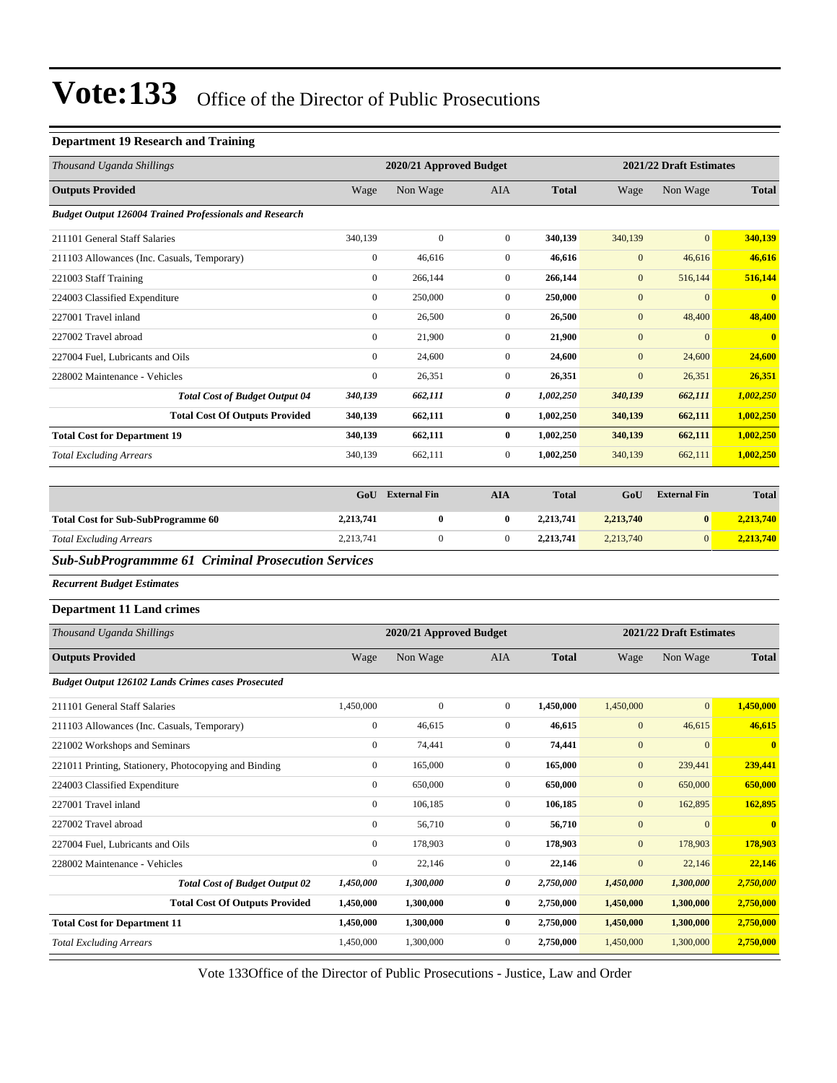#### **Department 19 Research and Training**

| Thousand Uganda Shillings                                      |                  | 2020/21 Approved Budget |                  |              |                  | 2021/22 Draft Estimates |                |  |
|----------------------------------------------------------------|------------------|-------------------------|------------------|--------------|------------------|-------------------------|----------------|--|
| <b>Outputs Provided</b>                                        | Wage             | Non Wage                | AIA              | <b>Total</b> | Wage             | Non Wage                | <b>Total</b>   |  |
| <b>Budget Output 126004 Trained Professionals and Research</b> |                  |                         |                  |              |                  |                         |                |  |
| 211101 General Staff Salaries                                  | 340,139          | $\mathbf{0}$            | $\overline{0}$   | 340,139      | 340,139          | $\mathbf{0}$            | 340,139        |  |
| 211103 Allowances (Inc. Casuals, Temporary)                    | $\boldsymbol{0}$ | 46,616                  | $\mathbf{0}$     | 46,616       | $\mathbf{0}$     | 46,616                  | 46,616         |  |
| 221003 Staff Training                                          | $\boldsymbol{0}$ | 266,144                 | $\mathbf{0}$     | 266,144      | $\mathbf{0}$     | 516,144                 | 516,144        |  |
| 224003 Classified Expenditure                                  | $\boldsymbol{0}$ | 250,000                 | $\boldsymbol{0}$ | 250,000      | $\mathbf{0}$     | $\mathbf{0}$            | $\mathbf{0}$   |  |
| 227001 Travel inland                                           | $\boldsymbol{0}$ | 26,500                  | $\boldsymbol{0}$ | 26,500       | $\mathbf{0}$     | 48,400                  | 48,400         |  |
| 227002 Travel abroad                                           | $\mathbf{0}$     | 21,900                  | $\mathbf{0}$     | 21,900       | $\mathbf{0}$     | $\mathbf{0}$            | $\bf{0}$       |  |
| 227004 Fuel, Lubricants and Oils                               | $\boldsymbol{0}$ | 24,600                  | $\mathbf{0}$     | 24,600       | $\mathbf{0}$     | 24,600                  | 24,600         |  |
| 228002 Maintenance - Vehicles                                  | $\boldsymbol{0}$ | 26,351                  | $\mathbf{0}$     | 26,351       | $\mathbf{0}$     | 26,351                  | 26,351         |  |
| <b>Total Cost of Budget Output 04</b>                          | 340,139          | 662,111                 | 0                | 1,002,250    | 340,139          | 662,111                 | 1,002,250      |  |
| <b>Total Cost Of Outputs Provided</b>                          | 340,139          | 662,111                 | $\bf{0}$         | 1,002,250    | 340,139          | 662,111                 | 1,002,250      |  |
| <b>Total Cost for Department 19</b>                            | 340,139          | 662,111                 | $\bf{0}$         | 1,002,250    | 340,139          | 662,111                 | 1,002,250      |  |
| <b>Total Excluding Arrears</b>                                 | 340,139          | 662,111                 | $\mathbf{0}$     | 1,002,250    | 340,139          | 662,111                 | 1,002,250      |  |
|                                                                |                  |                         |                  |              |                  |                         |                |  |
|                                                                | GoU              | <b>External Fin</b>     | <b>AIA</b>       | <b>Total</b> | GoU              | <b>External Fin</b>     | <b>Total</b>   |  |
| <b>Total Cost for Sub-SubProgramme 60</b>                      | 2,213,741        | $\bf{0}$                | 0                | 2,213,741    | 2,213,740        | $\bf{0}$                | 2,213,740      |  |
| <b>Total Excluding Arrears</b>                                 | 2,213,741        | $\boldsymbol{0}$        | $\boldsymbol{0}$ | 2,213,741    | 2,213,740        | $\mathbf{0}$            | 2,213,740      |  |
| <b>Sub-SubProgrammme 61 Criminal Prosecution Services</b>      |                  |                         |                  |              |                  |                         |                |  |
| <b>Recurrent Budget Estimates</b>                              |                  |                         |                  |              |                  |                         |                |  |
| <b>Department 11 Land crimes</b>                               |                  |                         |                  |              |                  |                         |                |  |
| Thousand Uganda Shillings                                      |                  | 2020/21 Approved Budget |                  |              |                  | 2021/22 Draft Estimates |                |  |
| <b>Outputs Provided</b>                                        | Wage             | Non Wage                | AIA              | <b>Total</b> | Wage             | Non Wage                | <b>Total</b>   |  |
| <b>Budget Output 126102 Lands Crimes cases Prosecuted</b>      |                  |                         |                  |              |                  |                         |                |  |
| 211101 General Staff Salaries                                  | 1,450,000        | $\boldsymbol{0}$        | $\boldsymbol{0}$ | 1,450,000    | 1,450,000        | $\mathbf{0}$            | 1,450,000      |  |
| 211103 Allowances (Inc. Casuals, Temporary)                    | $\boldsymbol{0}$ | 46,615                  | $\mathbf{0}$     | 46,615       | $\mathbf{0}$     | 46,615                  | 46,615         |  |
| 221002 Workshops and Seminars                                  | $\boldsymbol{0}$ | 74,441                  | $\mathbf{0}$     | 74,441       | $\mathbf{0}$     | $\mathbf{0}$            | $\bf{0}$       |  |
| 221011 Printing, Stationery, Photocopying and Binding          | $\boldsymbol{0}$ | 165,000                 | $\boldsymbol{0}$ | 165,000      | $\mathbf{0}$     | 239,441                 | <u>239,441</u> |  |
| 224003 Classified Expenditure                                  | $\mathbf{0}$     | 650,000                 | $\boldsymbol{0}$ | 650,000      | $\boldsymbol{0}$ | 650,000                 | 650,000        |  |
| 227001 Travel inland                                           | $\mathbf{0}$     | 106,185                 | $\boldsymbol{0}$ | 106,185      | $\boldsymbol{0}$ | 162,895                 | 162,895        |  |
| 227002 Travel abroad                                           | $\boldsymbol{0}$ | 56,710                  | $\boldsymbol{0}$ | 56,710       | $\mathbf{0}$     | $\mathbf{0}$            | $\bf{0}$       |  |
| 227004 Fuel, Lubricants and Oils                               | $\boldsymbol{0}$ | 178,903                 | $\boldsymbol{0}$ | 178,903      | $\boldsymbol{0}$ | 178,903                 | 178,903        |  |
| 228002 Maintenance - Vehicles                                  | $\boldsymbol{0}$ | 22,146                  | $\boldsymbol{0}$ | 22,146       | $\boldsymbol{0}$ | 22,146                  | 22,146         |  |
| <b>Total Cost of Budget Output 02</b>                          | 1,450,000        | 1,300,000               | 0                | 2,750,000    | 1,450,000        | 1,300,000               | 2,750,000      |  |
| <b>Total Cost Of Outputs Provided</b>                          | 1,450,000        | 1,300,000               | $\bf{0}$         | 2,750,000    | 1,450,000        | 1,300,000               | 2,750,000      |  |
| <b>Total Cost for Department 11</b>                            | 1,450,000        | 1,300,000               | $\bf{0}$         | 2,750,000    | 1,450,000        | 1,300,000               | 2,750,000      |  |
| <b>Total Excluding Arrears</b>                                 | 1,450,000        | 1,300,000               | $\boldsymbol{0}$ | 2,750,000    | 1,450,000        | 1,300,000               | 2,750,000      |  |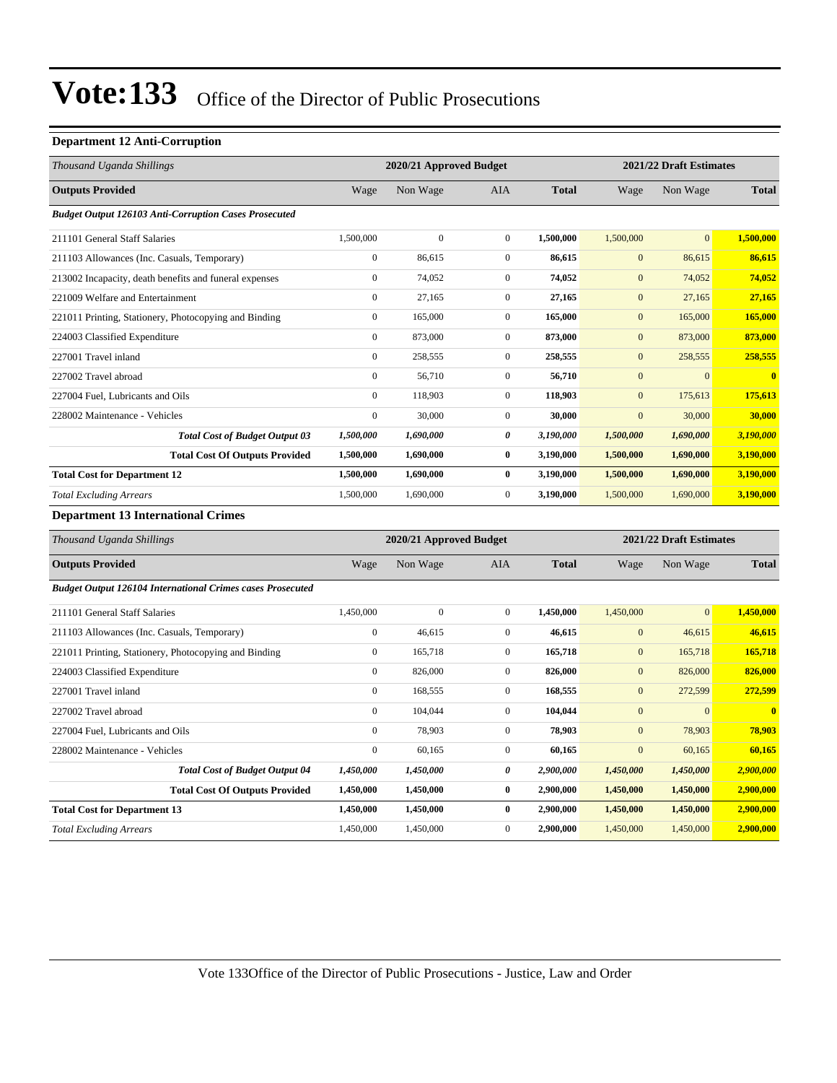#### **Department 12 Anti-Corruption**

| Thousand Uganda Shillings                                         |                  | 2020/21 Approved Budget |                  |              |                  | 2021/22 Draft Estimates |                         |
|-------------------------------------------------------------------|------------------|-------------------------|------------------|--------------|------------------|-------------------------|-------------------------|
| <b>Outputs Provided</b>                                           | Wage             | Non Wage                | AIA              | <b>Total</b> | Wage             | Non Wage                | <b>Total</b>            |
| <b>Budget Output 126103 Anti-Corruption Cases Prosecuted</b>      |                  |                         |                  |              |                  |                         |                         |
| 211101 General Staff Salaries                                     | 1,500,000        | $\mathbf{0}$            | $\mathbf{0}$     | 1,500,000    | 1,500,000        | $\mathbf{0}$            | 1,500,000               |
| 211103 Allowances (Inc. Casuals, Temporary)                       | $\boldsymbol{0}$ | 86,615                  | $\boldsymbol{0}$ | 86,615       | $\mathbf{0}$     | 86,615                  | 86,615                  |
| 213002 Incapacity, death benefits and funeral expenses            | $\boldsymbol{0}$ | 74,052                  | $\boldsymbol{0}$ | 74,052       | $\boldsymbol{0}$ | 74,052                  | 74,052                  |
| 221009 Welfare and Entertainment                                  | $\boldsymbol{0}$ | 27,165                  | $\boldsymbol{0}$ | 27,165       | $\mathbf{0}$     | 27,165                  | 27,165                  |
| 221011 Printing, Stationery, Photocopying and Binding             | $\boldsymbol{0}$ | 165,000                 | $\boldsymbol{0}$ | 165,000      | $\boldsymbol{0}$ | 165,000                 | 165,000                 |
| 224003 Classified Expenditure                                     | $\boldsymbol{0}$ | 873,000                 | $\boldsymbol{0}$ | 873,000      | $\boldsymbol{0}$ | 873,000                 | 873,000                 |
| 227001 Travel inland                                              | $\mathbf{0}$     | 258,555                 | $\boldsymbol{0}$ | 258,555      | $\mathbf{0}$     | 258,555                 | 258,555                 |
| 227002 Travel abroad                                              | $\boldsymbol{0}$ | 56,710                  | $\boldsymbol{0}$ | 56,710       | $\mathbf{0}$     | $\mathbf{0}$            | $\overline{\mathbf{0}}$ |
| 227004 Fuel, Lubricants and Oils                                  | $\boldsymbol{0}$ | 118,903                 | $\boldsymbol{0}$ | 118,903      | $\boldsymbol{0}$ | 175,613                 | 175,613                 |
| 228002 Maintenance - Vehicles                                     | $\boldsymbol{0}$ | 30,000                  | $\mathbf{0}$     | 30,000       | $\mathbf{0}$     | 30,000                  | 30,000                  |
| <b>Total Cost of Budget Output 03</b>                             | 1,500,000        | 1,690,000               | $\pmb{\theta}$   | 3,190,000    | 1,500,000        | 1,690,000               | 3,190,000               |
| <b>Total Cost Of Outputs Provided</b>                             | 1,500,000        | 1,690,000               | $\bf{0}$         | 3,190,000    | 1,500,000        | 1,690,000               | 3,190,000               |
| <b>Total Cost for Department 12</b>                               | 1,500,000        | 1,690,000               | $\bf{0}$         | 3,190,000    | 1,500,000        | 1,690,000               | 3,190,000               |
| <b>Total Excluding Arrears</b>                                    | 1,500,000        | 1,690,000               | $\overline{0}$   | 3,190,000    | 1,500,000        | 1,690,000               | 3,190,000               |
| <b>Department 13 International Crimes</b>                         |                  |                         |                  |              |                  |                         |                         |
| Thousand Uganda Shillings                                         |                  | 2020/21 Approved Budget |                  |              |                  | 2021/22 Draft Estimates |                         |
| <b>Outputs Provided</b>                                           | Wage             | Non Wage                | AIA              | <b>Total</b> | Wage             | Non Wage                | <b>Total</b>            |
| <b>Budget Output 126104 International Crimes cases Prosecuted</b> |                  |                         |                  |              |                  |                         |                         |
| 211101 General Staff Salaries                                     | 1,450,000        | $\mathbf{0}$            | $\boldsymbol{0}$ | 1,450,000    | 1,450,000        | $\mathbf{0}$            | 1,450,000               |
| 211103 Allowances (Inc. Casuals, Temporary)                       | $\boldsymbol{0}$ | 46,615                  | $\mathbf{0}$     | 46,615       | $\boldsymbol{0}$ | 46,615                  | 46,615                  |
| 221011 Printing, Stationery, Photocopying and Binding             | $\boldsymbol{0}$ | 165,718                 | $\mathbf{0}$     | 165,718      | $\mathbf{0}$     | 165,718                 | 165,718                 |
| 224003 Classified Expenditure                                     | $\mathbf{0}$     | 826,000                 | $\boldsymbol{0}$ | 826,000      | $\mathbf{0}$     | 826,000                 | 826,000                 |
| 227001 Travel inland                                              | $\boldsymbol{0}$ | 168,555                 | $\boldsymbol{0}$ | 168,555      | $\mathbf{0}$     | 272,599                 | 272,599                 |
| 227002 Travel abroad                                              | $\boldsymbol{0}$ | 104,044                 | $\boldsymbol{0}$ | 104,044      | $\mathbf{0}$     | $\mathbf{0}$            |                         |
| 227004 Fuel, Lubricants and Oils                                  | $\boldsymbol{0}$ | 78,903                  | $\mathbf 0$      | 78,903       | $\mathbf{0}$     | 78,903                  | 78,903                  |
| 228002 Maintenance - Vehicles                                     | $\boldsymbol{0}$ | 60,165                  | $\boldsymbol{0}$ | 60,165       | $\boldsymbol{0}$ | 60,165                  | 60,165                  |
| <b>Total Cost of Budget Output 04</b>                             | 1,450,000        | 1,450,000               | 0                | 2,900,000    | 1,450,000        | 1,450,000               | 2,900,000               |
| <b>Total Cost Of Outputs Provided</b>                             | 1,450,000        | 1,450,000               | $\bf{0}$         | 2,900,000    | 1,450,000        | 1,450,000               | 2,900,000               |
| <b>Total Cost for Department 13</b>                               | 1,450,000        | 1,450,000               | 0                | 2,900,000    | 1,450,000        | 1,450,000               | 2,900,000               |
| <b>Total Excluding Arrears</b>                                    | 1,450,000        | 1,450,000               | $\boldsymbol{0}$ | 2,900,000    | 1,450,000        | 1,450,000               | 2,900,000               |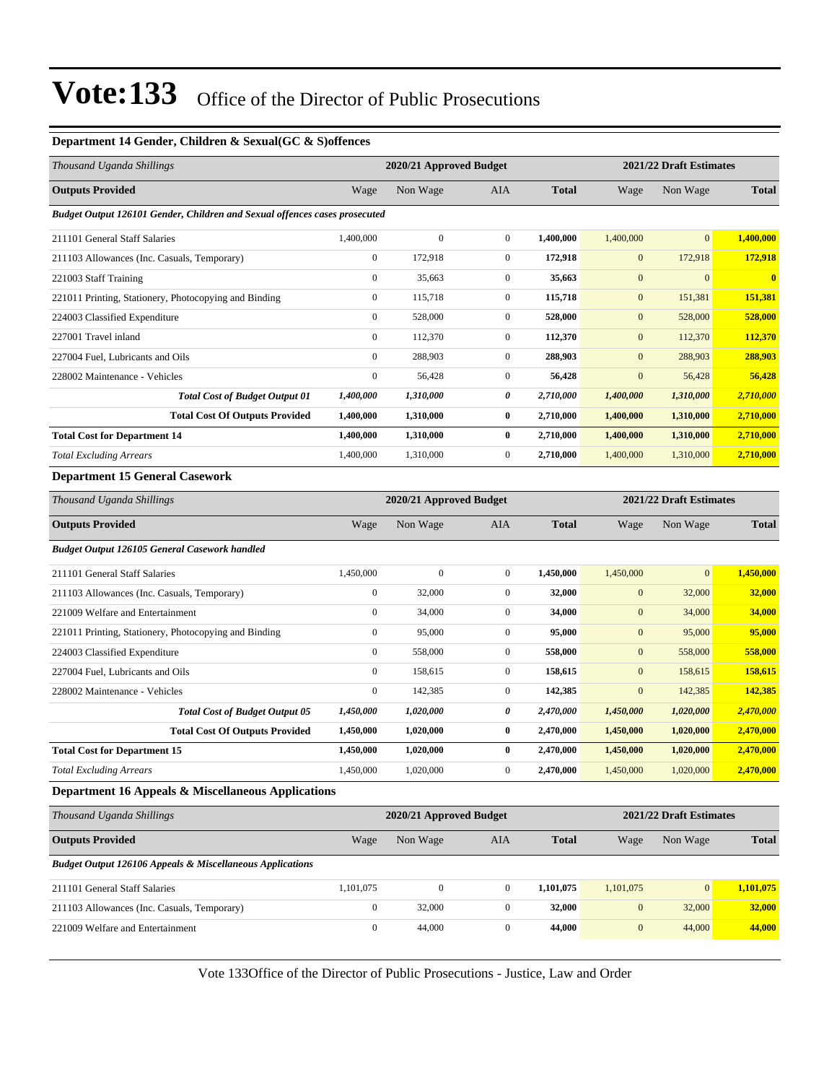#### **Department 14 Gender, Children & Sexual(GC & S)offences**

| Thousand Uganda Shillings                                                  |                  |                         | 2020/21 Approved Budget<br>2021/22 Draft Estimates |              |                  |                         |              |
|----------------------------------------------------------------------------|------------------|-------------------------|----------------------------------------------------|--------------|------------------|-------------------------|--------------|
| <b>Outputs Provided</b>                                                    | Wage             | Non Wage                | AIA                                                | <b>Total</b> | Wage             | Non Wage                | <b>Total</b> |
| Budget Output 126101 Gender, Children and Sexual offences cases prosecuted |                  |                         |                                                    |              |                  |                         |              |
| 211101 General Staff Salaries                                              | 1,400,000        | $\mathbf{0}$            | $\mathbf{0}$                                       | 1,400,000    | 1,400,000        | $\mathbf{0}$            | 1,400,000    |
| 211103 Allowances (Inc. Casuals, Temporary)                                | $\boldsymbol{0}$ | 172,918                 | $\mathbf{0}$                                       | 172,918      | $\mathbf{0}$     | 172,918                 | 172,918      |
| 221003 Staff Training                                                      | $\boldsymbol{0}$ | 35,663                  | $\mathbf{0}$                                       | 35,663       | $\mathbf{0}$     | $\boldsymbol{0}$        | $\bf{0}$     |
| 221011 Printing, Stationery, Photocopying and Binding                      | $\boldsymbol{0}$ | 115,718                 | $\mathbf{0}$                                       | 115,718      | $\mathbf{0}$     | 151,381                 | 151,381      |
| 224003 Classified Expenditure                                              | $\boldsymbol{0}$ | 528,000                 | $\mathbf{0}$                                       | 528,000      | $\mathbf{0}$     | 528,000                 | 528,000      |
| 227001 Travel inland                                                       | $\boldsymbol{0}$ | 112,370                 | $\mathbf{0}$                                       | 112,370      | $\mathbf{0}$     | 112,370                 | 112,370      |
| 227004 Fuel, Lubricants and Oils                                           | $\boldsymbol{0}$ | 288,903                 | $\mathbf{0}$                                       | 288,903      | $\mathbf{0}$     | 288,903                 | 288,903      |
| 228002 Maintenance - Vehicles                                              | $\boldsymbol{0}$ | 56,428                  | $\mathbf{0}$                                       | 56,428       | $\boldsymbol{0}$ | 56,428                  | 56,428       |
| <b>Total Cost of Budget Output 01</b>                                      | 1,400,000        | 1,310,000               | 0                                                  | 2,710,000    | 1,400,000        | 1,310,000               | 2,710,000    |
| <b>Total Cost Of Outputs Provided</b>                                      | 1,400,000        | 1,310,000               | $\bf{0}$                                           | 2,710,000    | 1,400,000        | 1,310,000               | 2,710,000    |
| <b>Total Cost for Department 14</b>                                        | 1,400,000        | 1,310,000               | $\bf{0}$                                           | 2,710,000    | 1,400,000        | 1,310,000               | 2,710,000    |
| <b>Total Excluding Arrears</b>                                             | 1,400,000        | 1,310,000               | $\mathbf{0}$                                       | 2,710,000    | 1,400,000        | 1,310,000               | 2,710,000    |
| <b>Department 15 General Casework</b>                                      |                  |                         |                                                    |              |                  |                         |              |
| Thousand Uganda Shillings                                                  |                  | 2020/21 Approved Budget |                                                    |              |                  | 2021/22 Draft Estimates |              |
| <b>Outputs Provided</b>                                                    | Wage             | Non Wage                | AIA                                                | <b>Total</b> | Wage             | Non Wage                | <b>Total</b> |
| Budget Output 126105 General Casework handled                              |                  |                         |                                                    |              |                  |                         |              |
| 211101 General Staff Salaries                                              | 1,450,000        | $\boldsymbol{0}$        | $\mathbf{0}$                                       | 1,450,000    | 1,450,000        | $\mathbf{0}$            | 1,450,000    |
| 211103 Allowances (Inc. Casuals, Temporary)                                | $\boldsymbol{0}$ | 32,000                  | $\mathbf{0}$                                       | 32,000       | $\mathbf{0}$     | 32,000                  | 32,000       |
| 221009 Welfare and Entertainment                                           | $\boldsymbol{0}$ | 34,000                  | $\mathbf{0}$                                       | 34,000       | $\mathbf{0}$     | 34,000                  | 34,000       |
| 221011 Printing, Stationery, Photocopying and Binding                      | $\boldsymbol{0}$ | 95,000                  | $\mathbf{0}$                                       | 95,000       | $\mathbf{0}$     | 95,000                  | 95,000       |
| 224003 Classified Expenditure                                              | $\boldsymbol{0}$ | 558,000                 | $\mathbf{0}$                                       | 558,000      | $\mathbf{0}$     | 558,000                 | 558,000      |
| 227004 Fuel, Lubricants and Oils                                           | $\boldsymbol{0}$ | 158,615                 | $\mathbf{0}$                                       | 158,615      | $\boldsymbol{0}$ | 158,615                 | 158,615      |
| 228002 Maintenance - Vehicles                                              | $\boldsymbol{0}$ | 142,385                 | $\mathbf{0}$                                       | 142,385      | $\boldsymbol{0}$ | 142,385                 | 142,385      |
| <b>Total Cost of Budget Output 05</b>                                      | 1,450,000        | 1,020,000               | 0                                                  | 2,470,000    | 1,450,000        | 1,020,000               | 2,470,000    |
| <b>Total Cost Of Outputs Provided</b>                                      | 1,450,000        | 1,020,000               | $\bf{0}$                                           | 2,470,000    | 1,450,000        | 1,020,000               | 2,470,000    |
| <b>Total Cost for Department 15</b>                                        | 1,450,000        | 1,020,000               | $\bf{0}$                                           | 2,470,000    | 1,450,000        | 1,020,000               | 2,470,000    |
| <b>Total Excluding Arrears</b>                                             | 1,450,000        | 1,020,000               | $\boldsymbol{0}$                                   | 2,470,000    | 1,450,000        | 1,020,000               | 2,470,000    |
| Department 16 Appeals & Miscellaneous Applications                         |                  |                         |                                                    |              |                  |                         |              |
| Thousand Uganda Shillings                                                  |                  | 2020/21 Approved Budget |                                                    |              |                  | 2021/22 Draft Estimates |              |
| <b>Outputs Provided</b>                                                    | Wage             | Non Wage                | AIA                                                | <b>Total</b> | Wage             | Non Wage                | Total        |
| <b>Budget Output 126106 Appeals &amp; Miscellaneous Applications</b>       |                  |                         |                                                    |              |                  |                         |              |
| 211101 General Staff Salaries                                              | 1,101,075        | $\boldsymbol{0}$        | $\mathbf{0}$                                       | 1,101,075    | 1,101,075        | $\boldsymbol{0}$        | 1,101,075    |
| 211103 Allowances (Inc. Casuals, Temporary)                                | $\boldsymbol{0}$ | 32,000                  | $\boldsymbol{0}$                                   | 32,000       | $\mathbf{0}$     | 32,000                  | 32,000       |
| 221009 Welfare and Entertainment                                           | $\boldsymbol{0}$ | 44,000                  | $\boldsymbol{0}$                                   | 44,000       | $\boldsymbol{0}$ | 44,000                  | 44,000       |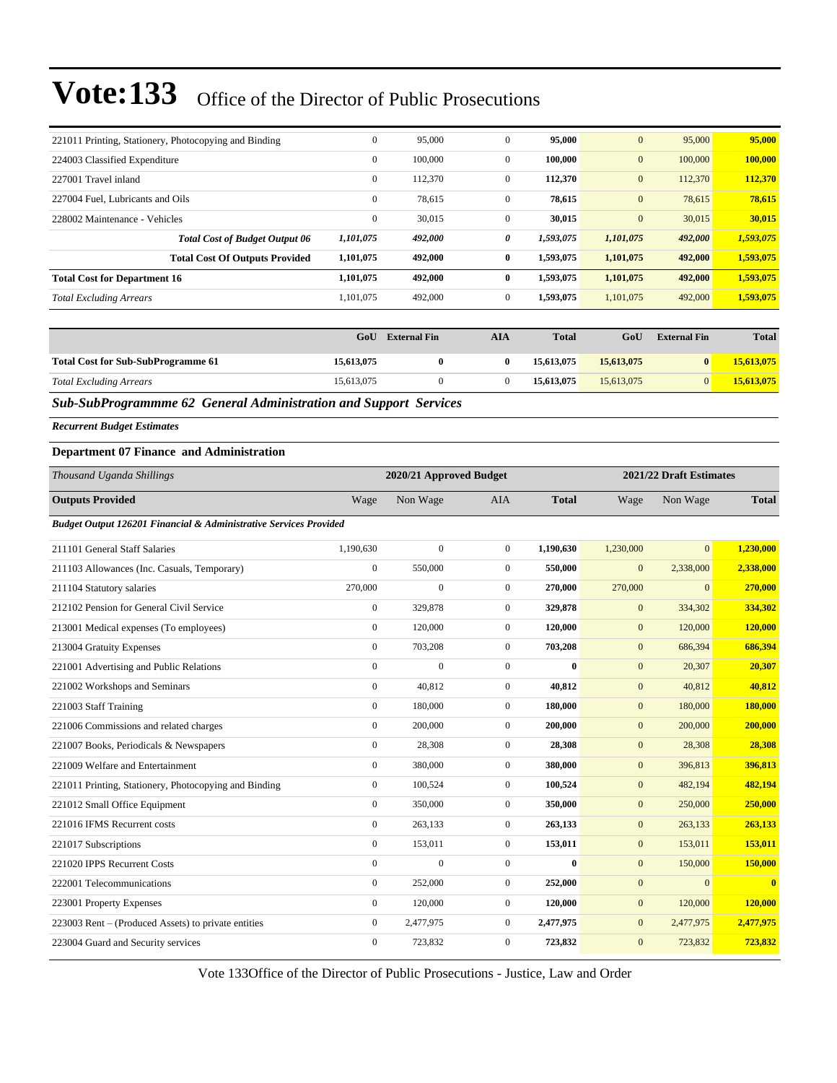| 221011 Printing, Stationery, Photocopying and Binding | $\mathbf{0}$ | 95,000  | $\mathbf{0}$ | 95,000    | $\mathbf{0}$ | 95,000  | 95,000    |
|-------------------------------------------------------|--------------|---------|--------------|-----------|--------------|---------|-----------|
| 224003 Classified Expenditure                         | $\mathbf{0}$ | 100,000 | $\Omega$     | 100,000   | $\mathbf{0}$ | 100,000 | 100,000   |
| 227001 Travel inland                                  | $\mathbf{0}$ | 112,370 | $\mathbf{0}$ | 112,370   | $\mathbf{0}$ | 112,370 | 112,370   |
| 227004 Fuel. Lubricants and Oils                      | $\mathbf{0}$ | 78,615  | $\mathbf{0}$ | 78,615    | $\mathbf{0}$ | 78,615  | 78,615    |
| 228002 Maintenance - Vehicles                         | $\mathbf{0}$ | 30,015  | $\mathbf{0}$ | 30,015    | $\mathbf{0}$ | 30,015  | 30,015    |
| <b>Total Cost of Budget Output 06</b>                 | 1,101,075    | 492,000 | 0            | 1,593,075 | 1,101,075    | 492,000 | 1,593,075 |
| <b>Total Cost Of Outputs Provided</b>                 | 1,101,075    | 492,000 | $\bf{0}$     | 1,593,075 | 1,101,075    | 492,000 | 1,593,075 |
| <b>Total Cost for Department 16</b>                   | 1,101,075    | 492,000 | 0            | 1,593,075 | 1,101,075    | 492,000 | 1,593,075 |
| <b>Total Excluding Arrears</b>                        | 1,101,075    | 492,000 | $\mathbf{0}$ | 1,593,075 | 1,101,075    | 492,000 | 1,593,075 |
|                                                       |              |         |              |           |              |         |           |

|                                           | GoU        | <b>External Fin</b> | AIA | <b>Total</b> | GoU        | <b>External Fin</b> | <b>Total</b> |
|-------------------------------------------|------------|---------------------|-----|--------------|------------|---------------------|--------------|
| <b>Total Cost for Sub-SubProgramme 61</b> | 15,613,075 |                     |     | 15,613,075   | 15,613,075 |                     | 15,613,075   |
| <b>Total Excluding Arrears</b>            | 15.613.075 |                     |     | 15,613,075   | 15.613.075 |                     | 15,613,075   |

*Sub-SubProgrammme 62 General Administration and Support Services*

*Recurrent Budget Estimates*

### **Department 07 Finance and Administration**

| Thousand Uganda Shillings                                         |                  | 2020/21 Approved Budget |                |              | 2021/22 Draft Estimates |                |                         |
|-------------------------------------------------------------------|------------------|-------------------------|----------------|--------------|-------------------------|----------------|-------------------------|
| <b>Outputs Provided</b>                                           | Wage             | Non Wage                | <b>AIA</b>     | <b>Total</b> | Wage                    | Non Wage       | <b>Total</b>            |
| Budget Output 126201 Financial & Administrative Services Provided |                  |                         |                |              |                         |                |                         |
| 211101 General Staff Salaries                                     | 1,190,630        | $\mathbf{0}$            | $\overline{0}$ | 1,190,630    | 1,230,000               | $\overline{0}$ | 1.230,000               |
| 211103 Allowances (Inc. Casuals, Temporary)                       | $\boldsymbol{0}$ | 550,000                 | $\overline{0}$ | 550,000      | $\mathbf{0}$            | 2,338,000      | 2,338,000               |
| 211104 Statutory salaries                                         | 270,000          | $\overline{0}$          | $\overline{0}$ | 270,000      | 270,000                 | $\mathbf{0}$   | 270,000                 |
| 212102 Pension for General Civil Service                          | $\boldsymbol{0}$ | 329,878                 | $\overline{0}$ | 329,878      | $\mathbf{0}$            | 334,302        | 334,302                 |
| 213001 Medical expenses (To employees)                            | $\mathbf{0}$     | 120,000                 | $\overline{0}$ | 120,000      | $\mathbf{0}$            | 120,000        | 120,000                 |
| 213004 Gratuity Expenses                                          | $\mathbf{0}$     | 703,208                 | $\overline{0}$ | 703,208      | $\mathbf{0}$            | 686,394        | 686,394                 |
| 221001 Advertising and Public Relations                           | $\mathbf{0}$     | $\overline{0}$          | $\overline{0}$ | $\bf{0}$     | $\mathbf{0}$            | 20,307         | 20,307                  |
| 221002 Workshops and Seminars                                     | $\mathbf{0}$     | 40,812                  | $\overline{0}$ | 40,812       | $\mathbf{0}$            | 40,812         | 40,812                  |
| 221003 Staff Training                                             | $\boldsymbol{0}$ | 180,000                 | $\overline{0}$ | 180,000      | $\mathbf{0}$            | 180,000        | 180,000                 |
| 221006 Commissions and related charges                            | $\mathbf{0}$     | 200,000                 | $\Omega$       | 200,000      | $\mathbf{0}$            | 200,000        | 200,000                 |
| 221007 Books, Periodicals & Newspapers                            | $\mathbf{0}$     | 28,308                  | $\overline{0}$ | 28,308       | $\mathbf{0}$            | 28,308         | 28,308                  |
| 221009 Welfare and Entertainment                                  | $\Omega$         | 380,000                 | $\overline{0}$ | 380,000      | $\mathbf{0}$            | 396,813        | 396,813                 |
| 221011 Printing, Stationery, Photocopying and Binding             | $\mathbf{0}$     | 100,524                 | $\overline{0}$ | 100,524      | $\mathbf{0}$            | 482,194        | 482,194                 |
| 221012 Small Office Equipment                                     | $\mathbf{0}$     | 350,000                 | $\overline{0}$ | 350,000      | $\mathbf{0}$            | 250,000        | 250,000                 |
| 221016 IFMS Recurrent costs                                       | $\mathbf{0}$     | 263,133                 | $\overline{0}$ | 263,133      | $\mathbf{0}$            | 263,133        | 263,133                 |
| 221017 Subscriptions                                              | $\mathbf{0}$     | 153,011                 | $\overline{0}$ | 153,011      | $\mathbf{0}$            | 153,011        | 153,011                 |
| 221020 IPPS Recurrent Costs                                       | $\mathbf{0}$     | $\mathbf{0}$            | $\overline{0}$ | $\bf{0}$     | $\mathbf{0}$            | 150,000        | 150,000                 |
| 222001 Telecommunications                                         | $\mathbf{0}$     | 252,000                 | $\overline{0}$ | 252,000      | $\mathbf{0}$            | $\mathbf{0}$   | $\overline{\mathbf{0}}$ |
| 223001 Property Expenses                                          | $\mathbf{0}$     | 120,000                 | $\overline{0}$ | 120,000      | $\mathbf{0}$            | 120,000        | 120,000                 |
| 223003 Rent – (Produced Assets) to private entities               | $\mathbf{0}$     | 2,477,975               | $\overline{0}$ | 2,477,975    | $\mathbf{0}$            | 2,477,975      | 2,477,975               |
| 223004 Guard and Security services                                | $\mathbf{0}$     | 723,832                 | $\mathbf{0}$   | 723,832      | $\mathbf{0}$            | 723,832        | 723,832                 |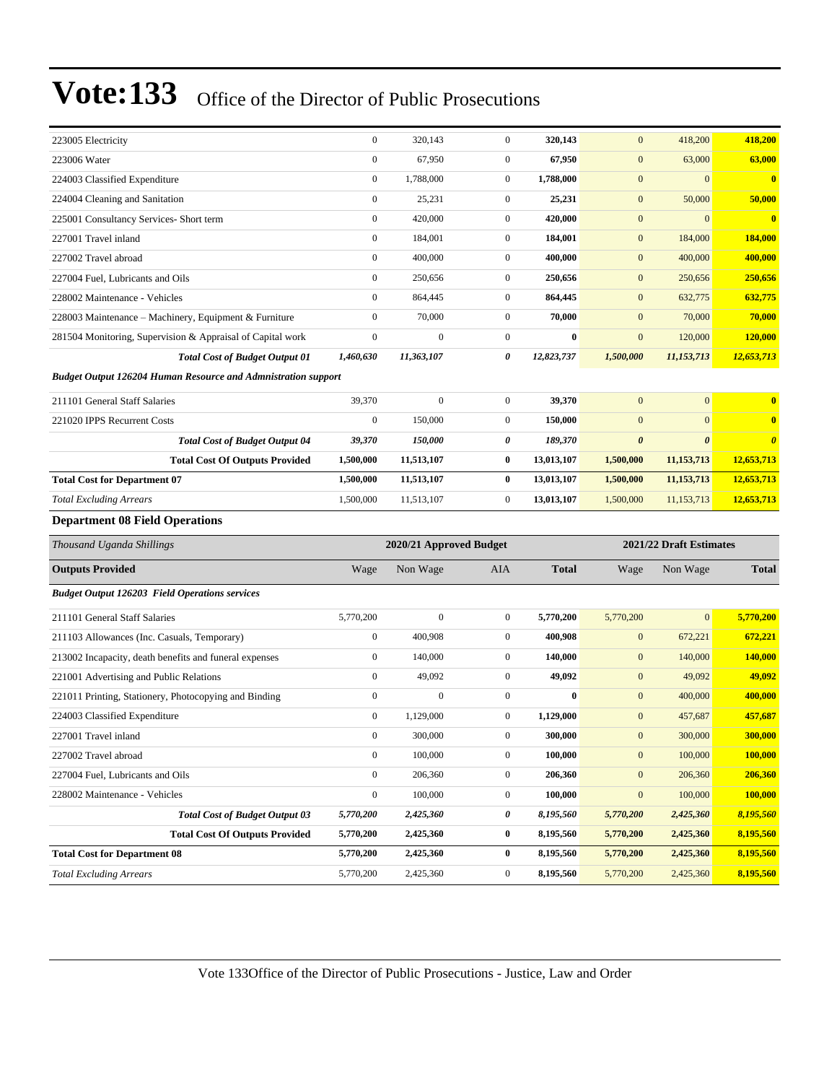| 223005 Electricity                                                    | $\boldsymbol{0}$       | 320,143                 | $\mathbf{0}$                 | 320,143                | $\mathbf{0}$           | 418,200                 | 418,200                |
|-----------------------------------------------------------------------|------------------------|-------------------------|------------------------------|------------------------|------------------------|-------------------------|------------------------|
| 223006 Water                                                          | $\boldsymbol{0}$       | 67,950                  | $\mathbf{0}$                 | 67,950                 | $\mathbf{0}$           | 63,000                  | 63,000                 |
| 224003 Classified Expenditure                                         | $\boldsymbol{0}$       | 1,788,000               | $\mathbf{0}$                 | 1,788,000              | $\boldsymbol{0}$       | $\overline{0}$          | $\bf{0}$               |
| 224004 Cleaning and Sanitation                                        | $\boldsymbol{0}$       | 25,231                  | $\mathbf{0}$                 | 25,231                 | $\boldsymbol{0}$       | 50,000                  | 50,000                 |
| 225001 Consultancy Services- Short term                               | $\boldsymbol{0}$       | 420,000                 | $\mathbf{0}$                 | 420,000                | $\mathbf{0}$           | $\overline{0}$          | $\bf{0}$               |
| 227001 Travel inland                                                  | $\boldsymbol{0}$       | 184,001                 | $\mathbf{0}$                 | 184,001                | $\mathbf{0}$           | 184,000                 | 184,000                |
| 227002 Travel abroad                                                  | $\boldsymbol{0}$       | 400,000                 | $\mathbf{0}$                 | 400,000                | $\mathbf{0}$           | 400,000                 | 400,000                |
| 227004 Fuel, Lubricants and Oils                                      | $\boldsymbol{0}$       | 250,656                 | $\mathbf{0}$                 | 250,656                | $\mathbf{0}$           | 250,656                 | 250,656                |
| 228002 Maintenance - Vehicles                                         | $\boldsymbol{0}$       | 864,445                 | $\mathbf{0}$                 | 864,445                | $\mathbf{0}$           | 632,775                 | 632,775                |
| 228003 Maintenance - Machinery, Equipment & Furniture                 | $\boldsymbol{0}$       | 70,000                  | $\mathbf{0}$                 | 70,000                 | $\mathbf{0}$           | 70,000                  | 70,000                 |
| 281504 Monitoring, Supervision & Appraisal of Capital work            | $\boldsymbol{0}$       | $\mathbf{0}$            | $\mathbf{0}$                 | $\bf{0}$               | $\mathbf{0}$           | 120,000                 | 120,000                |
| <b>Total Cost of Budget Output 01</b>                                 | 1,460,630              | 11,363,107              | 0                            | 12,823,737             | 1,500,000              | 11,153,713              | 12,653,713             |
| <b>Budget Output 126204 Human Resource and Admnistration support</b>  |                        |                         |                              |                        |                        |                         |                        |
| 211101 General Staff Salaries                                         | 39,370                 | $\boldsymbol{0}$        | $\mathbf{0}$                 | 39,370                 | $\mathbf{0}$           | $\overline{0}$          | $\bf{0}$               |
| 221020 IPPS Recurrent Costs                                           | $\boldsymbol{0}$       | 150,000                 | $\mathbf{0}$                 | 150,000                | $\mathbf{0}$           | $\overline{0}$          | $\mathbf{0}$           |
| <b>Total Cost of Budget Output 04</b>                                 | 39,370                 | 150,000                 | 0                            | 189,370                | $\boldsymbol{\theta}$  | $\boldsymbol{\theta}$   | $\boldsymbol{\theta}$  |
| <b>Total Cost Of Outputs Provided</b>                                 | 1,500,000              | 11,513,107              | $\bf{0}$                     | 13,013,107             | 1,500,000              | 11,153,713              | 12,653,713             |
| <b>Total Cost for Department 07</b>                                   | 1,500,000              | 11,513,107              | $\bf{0}$                     | 13,013,107             | 1,500,000              | 11, 153, 713            | 12,653,713             |
| <b>Total Excluding Arrears</b>                                        | 1,500,000              | 11,513,107              | $\mathbf{0}$                 | 13,013,107             | 1,500,000              | 11,153,713              | 12,653,713             |
|                                                                       |                        |                         |                              |                        |                        |                         |                        |
| <b>Department 08 Field Operations</b>                                 |                        |                         |                              |                        |                        |                         |                        |
| Thousand Uganda Shillings                                             |                        | 2020/21 Approved Budget |                              |                        |                        | 2021/22 Draft Estimates |                        |
| <b>Outputs Provided</b>                                               | Wage                   | Non Wage                | <b>AIA</b>                   | <b>Total</b>           | Wage                   | Non Wage                | <b>Total</b>           |
|                                                                       |                        |                         |                              |                        |                        |                         |                        |
| <b>Budget Output 126203 Field Operations services</b>                 |                        |                         |                              |                        |                        |                         |                        |
| 211101 General Staff Salaries                                         | 5,770,200              | $\boldsymbol{0}$        | $\mathbf{0}$                 | 5,770,200              | 5,770,200              | $\overline{0}$          | 5,770,200              |
| 211103 Allowances (Inc. Casuals, Temporary)                           | $\boldsymbol{0}$       | 400,908                 | $\mathbf{0}$                 | 400,908                | $\boldsymbol{0}$       | 672,221                 | 672,221                |
| 213002 Incapacity, death benefits and funeral expenses                | $\boldsymbol{0}$       | 140,000                 | $\mathbf{0}$                 | 140,000                | $\mathbf{0}$           | 140,000                 | 140,000                |
| 221001 Advertising and Public Relations                               | $\boldsymbol{0}$       | 49,092                  | $\mathbf{0}$                 | 49,092                 | $\boldsymbol{0}$       | 49,092                  | 49,092                 |
| 221011 Printing, Stationery, Photocopying and Binding                 | $\boldsymbol{0}$       | $\overline{0}$          | $\mathbf{0}$                 | $\bf{0}$               | $\mathbf{0}$           | 400,000                 | 400,000                |
| 224003 Classified Expenditure                                         | $\boldsymbol{0}$       | 1,129,000               | $\mathbf{0}$                 | 1,129,000              | $\mathbf{0}$           | 457,687                 | 457,687                |
| 227001 Travel inland                                                  | $\overline{0}$         | 300,000                 | $\mathbf{0}$                 | 300,000                | $\mathbf{0}$           | 300,000                 | 300,000                |
| 227002 Travel abroad                                                  | $\mathbf{0}$           | 100,000                 | $\mathbf{0}$                 | 100,000                | $\boldsymbol{0}$       | 100,000                 | 100,000                |
| 227004 Fuel, Lubricants and Oils                                      | $\boldsymbol{0}$       | 206,360                 | $\boldsymbol{0}$             | 206,360                | $\mathbf{0}$           | 206,360                 | 206,360                |
| 228002 Maintenance - Vehicles                                         | $\boldsymbol{0}$       | 100,000                 | $\boldsymbol{0}$             | 100,000                | $\boldsymbol{0}$       | 100,000                 | 100,000                |
| <b>Total Cost of Budget Output 03</b>                                 | 5,770,200              | 2,425,360               | 0                            | 8,195,560              | 5,770,200              | 2,425,360               | 8,195,560              |
| <b>Total Cost Of Outputs Provided</b>                                 | 5,770,200              | 2,425,360               | $\bf{0}$                     | 8,195,560              | 5,770,200              | 2,425,360               | 8,195,560              |
| <b>Total Cost for Department 08</b><br><b>Total Excluding Arrears</b> | 5,770,200<br>5,770,200 | 2,425,360<br>2,425,360  | $\bf{0}$<br>$\boldsymbol{0}$ | 8,195,560<br>8,195,560 | 5,770,200<br>5,770,200 | 2,425,360<br>2,425,360  | 8,195,560<br>8,195,560 |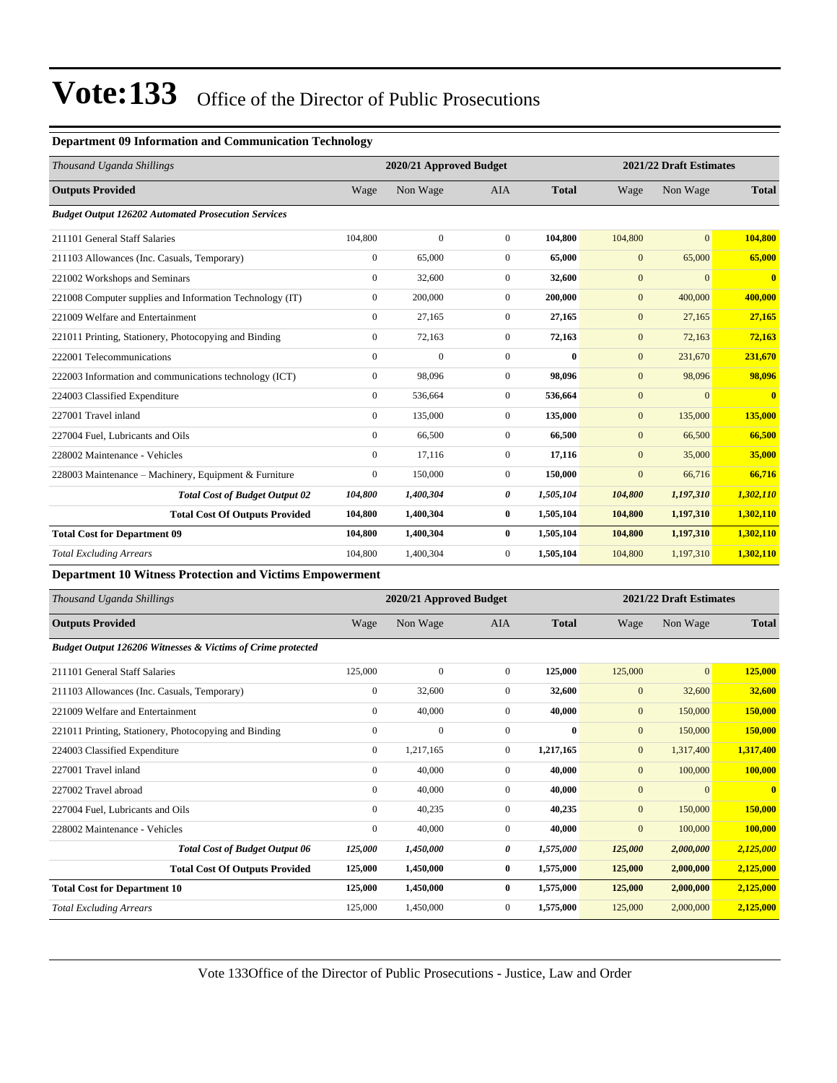#### **Department 09 Information and Communication Technology**

| Thousand Uganda Shillings                                  | 2020/21 Approved Budget |              |                |              | 2021/22 Draft Estimates |                |                |  |
|------------------------------------------------------------|-------------------------|--------------|----------------|--------------|-------------------------|----------------|----------------|--|
| <b>Outputs Provided</b>                                    | Wage                    | Non Wage     | <b>AIA</b>     | <b>Total</b> | Wage                    | Non Wage       | <b>Total</b>   |  |
| <b>Budget Output 126202 Automated Prosecution Services</b> |                         |              |                |              |                         |                |                |  |
| 211101 General Staff Salaries                              | 104,800                 | $\mathbf{0}$ | $\mathbf{0}$   | 104,800      | 104,800                 | $\overline{0}$ | 104,800        |  |
| 211103 Allowances (Inc. Casuals, Temporary)                | $\mathbf{0}$            | 65,000       | $\mathbf{0}$   | 65,000       | $\mathbf{0}$            | 65,000         | 65,000         |  |
| 221002 Workshops and Seminars                              | $\overline{0}$          | 32,600       | $\mathbf{0}$   | 32,600       | $\mathbf{0}$            | $\Omega$       | $\overline{0}$ |  |
| 221008 Computer supplies and Information Technology (IT)   | $\overline{0}$          | 200,000      | $\mathbf{0}$   | 200,000      | $\mathbf{0}$            | 400,000        | 400,000        |  |
| 221009 Welfare and Entertainment                           | $\mathbf{0}$            | 27,165       | $\overline{0}$ | 27,165       | $\overline{0}$          | 27,165         | 27,165         |  |
| 221011 Printing, Stationery, Photocopying and Binding      | $\mathbf{0}$            | 72,163       | $\mathbf{0}$   | 72,163       | $\overline{0}$          | 72,163         | 72,163         |  |
| 222001 Telecommunications                                  | $\mathbf{0}$            | $\mathbf{0}$ | $\mathbf{0}$   | $\bf{0}$     | $\overline{0}$          | 231,670        | 231,670        |  |
| 222003 Information and communications technology (ICT)     | $\overline{0}$          | 98,096       | $\mathbf{0}$   | 98,096       | $\mathbf{0}$            | 98,096         | 98,096         |  |
| 224003 Classified Expenditure                              | $\overline{0}$          | 536,664      | $\mathbf{0}$   | 536,664      | $\mathbf{0}$            | $\Omega$       | $\mathbf{0}$   |  |
| 227001 Travel inland                                       | $\overline{0}$          | 135,000      | $\mathbf{0}$   | 135,000      | $\mathbf{0}$            | 135,000        | 135,000        |  |
| 227004 Fuel, Lubricants and Oils                           | $\overline{0}$          | 66,500       | $\mathbf{0}$   | 66,500       | $\mathbf{0}$            | 66,500         | 66,500         |  |
| 228002 Maintenance - Vehicles                              | $\overline{0}$          | 17,116       | $\overline{0}$ | 17,116       | $\overline{0}$          | 35,000         | 35,000         |  |
| 228003 Maintenance – Machinery, Equipment & Furniture      | $\overline{0}$          | 150,000      | $\mathbf{0}$   | 150,000      | $\mathbf{0}$            | 66,716         | 66,716         |  |
| <b>Total Cost of Budget Output 02</b>                      | 104,800                 | 1,400,304    | 0              | 1,505,104    | 104,800                 | 1,197,310      | 1,302,110      |  |
| <b>Total Cost Of Outputs Provided</b>                      | 104,800                 | 1,400,304    | $\bf{0}$       | 1,505,104    | 104,800                 | 1,197,310      | 1,302,110      |  |
| <b>Total Cost for Department 09</b>                        | 104,800                 | 1,400,304    | $\bf{0}$       | 1,505,104    | 104,800                 | 1,197,310      | 1,302,110      |  |
| <b>Total Excluding Arrears</b>                             | 104,800                 | 1,400,304    | $\mathbf{0}$   | 1,505,104    | 104,800                 | 1,197,310      | 1,302,110      |  |

**Department 10 Witness Protection and Victims Empowerment**

| Thousand Uganda Shillings                                   |                  | 2020/21 Approved Budget |                |              | 2021/22 Draft Estimates |                |              |
|-------------------------------------------------------------|------------------|-------------------------|----------------|--------------|-------------------------|----------------|--------------|
| <b>Outputs Provided</b>                                     | Wage             | Non Wage                | <b>AIA</b>     | <b>Total</b> | Wage                    | Non Wage       | <b>Total</b> |
| Budget Output 126206 Witnesses & Victims of Crime protected |                  |                         |                |              |                         |                |              |
| 211101 General Staff Salaries                               | 125,000          | $\mathbf{0}$            | $\overline{0}$ | 125,000      | 125,000                 | $\overline{0}$ | 125,000      |
| 211103 Allowances (Inc. Casuals, Temporary)                 | $\boldsymbol{0}$ | 32,600                  | $\overline{0}$ | 32,600       | $\mathbf{0}$            | 32,600         | 32,600       |
| 221009 Welfare and Entertainment                            | $\mathbf{0}$     | 40,000                  | $\overline{0}$ | 40,000       | $\mathbf{0}$            | 150,000        | 150,000      |
| 221011 Printing, Stationery, Photocopying and Binding       | $\mathbf{0}$     | $\mathbf{0}$            | $\mathbf{0}$   | $\bf{0}$     | $\mathbf{0}$            | 150,000        | 150,000      |
| 224003 Classified Expenditure                               | $\mathbf{0}$     | 1,217,165               | $\overline{0}$ | 1,217,165    | $\mathbf{0}$            | 1,317,400      | 1,317,400    |
| 227001 Travel inland                                        | $\mathbf{0}$     | 40,000                  | $\overline{0}$ | 40,000       | $\mathbf{0}$            | 100,000        | 100,000      |
| 227002 Travel abroad                                        | $\mathbf{0}$     | 40,000                  | $\overline{0}$ | 40,000       | $\mathbf{0}$            | $\mathbf{0}$   | $\mathbf{0}$ |
| 227004 Fuel, Lubricants and Oils                            | $\mathbf{0}$     | 40,235                  | $\overline{0}$ | 40,235       | $\mathbf{0}$            | 150,000        | 150,000      |
| 228002 Maintenance - Vehicles                               | $\mathbf{0}$     | 40,000                  | $\overline{0}$ | 40,000       | $\mathbf{0}$            | 100,000        | 100,000      |
| <b>Total Cost of Budget Output 06</b>                       | 125,000          | 1,450,000               | 0              | 1,575,000    | 125,000                 | 2,000,000      | 2,125,000    |
| <b>Total Cost Of Outputs Provided</b>                       | 125,000          | 1,450,000               | $\bf{0}$       | 1,575,000    | 125,000                 | 2,000,000      | 2,125,000    |
| <b>Total Cost for Department 10</b>                         | 125,000          | 1,450,000               | $\bf{0}$       | 1,575,000    | 125,000                 | 2,000,000      | 2,125,000    |
| <b>Total Excluding Arrears</b>                              | 125,000          | 1,450,000               | $\overline{0}$ | 1,575,000    | 125,000                 | 2,000,000      | 2,125,000    |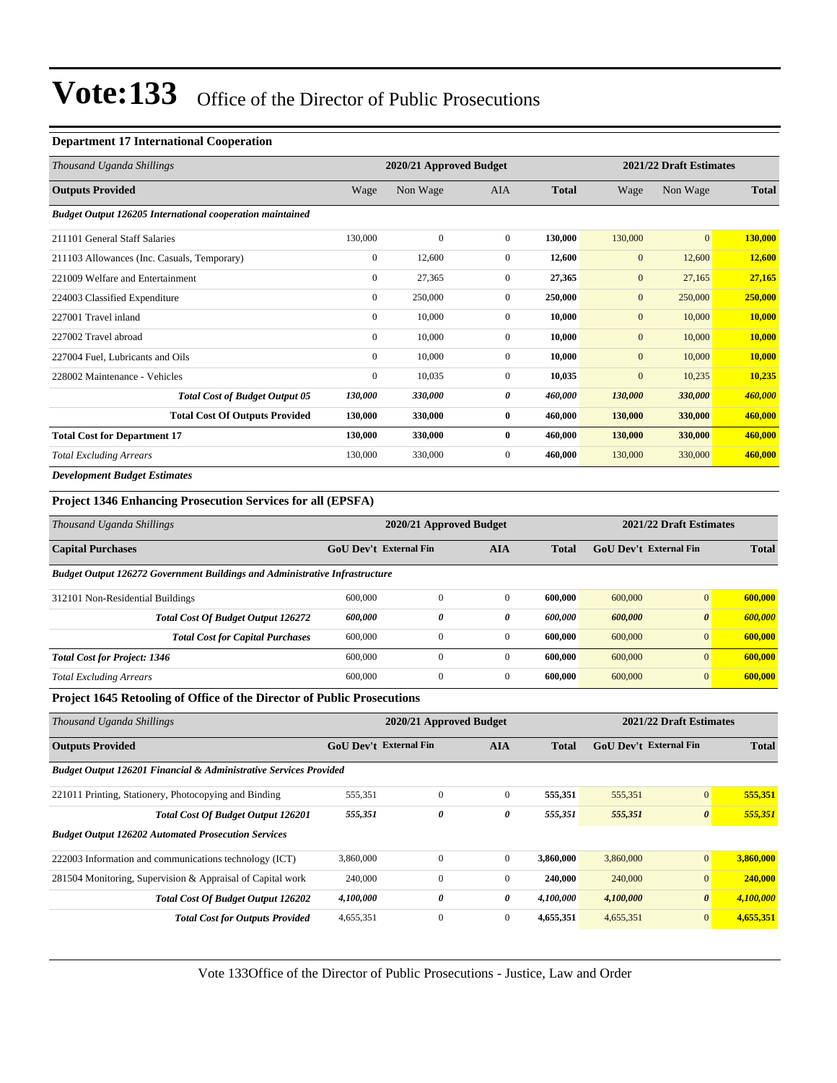#### **Department 17 International Cooperation**

| Thousand Uganda Shillings                                        |                | 2020/21 Approved Budget |              |              | 2021/22 Draft Estimates |                |              |
|------------------------------------------------------------------|----------------|-------------------------|--------------|--------------|-------------------------|----------------|--------------|
| <b>Outputs Provided</b>                                          | Wage           | Non Wage                | <b>AIA</b>   | <b>Total</b> | Wage                    | Non Wage       | <b>Total</b> |
| <b>Budget Output 126205 International cooperation maintained</b> |                |                         |              |              |                         |                |              |
| 211101 General Staff Salaries                                    | 130,000        | $\mathbf{0}$            | $\mathbf{0}$ | 130,000      | 130,000                 | $\overline{0}$ | 130,000      |
| 211103 Allowances (Inc. Casuals, Temporary)                      | $\overline{0}$ | 12,600                  | $\mathbf{0}$ | 12,600       | $\overline{0}$          | 12,600         | 12,600       |
| 221009 Welfare and Entertainment                                 | $\mathbf{0}$   | 27,365                  | $\mathbf{0}$ | 27,365       | $\mathbf{0}$            | 27,165         | 27,165       |
| 224003 Classified Expenditure                                    | $\mathbf{0}$   | 250,000                 | $\mathbf{0}$ | 250,000      | $\overline{0}$          | 250,000        | 250,000      |
| 227001 Travel inland                                             | $\mathbf{0}$   | 10,000                  | $\mathbf{0}$ | 10,000       | $\mathbf{0}$            | 10,000         | 10,000       |
| 227002 Travel abroad                                             | $\overline{0}$ | 10,000                  | $\mathbf{0}$ | 10,000       | $\mathbf{0}$            | 10,000         | 10,000       |
| 227004 Fuel, Lubricants and Oils                                 | $\mathbf{0}$   | 10.000                  | $\mathbf{0}$ | 10.000       | $\overline{0}$          | 10,000         | 10,000       |
| 228002 Maintenance - Vehicles                                    | $\mathbf{0}$   | 10,035                  | $\mathbf{0}$ | 10,035       | $\mathbf{0}$            | 10,235         | 10,235       |
| <b>Total Cost of Budget Output 05</b>                            | 130,000        | 330,000                 | 0            | 460,000      | 130,000                 | 330,000        | 460,000      |
| <b>Total Cost Of Outputs Provided</b>                            | 130,000        | 330,000                 | $\bf{0}$     | 460,000      | 130,000                 | 330,000        | 460,000      |
| <b>Total Cost for Department 17</b>                              | 130,000        | 330,000                 | $\bf{0}$     | 460,000      | 130,000                 | 330,000        | 460,000      |
| <b>Total Excluding Arrears</b>                                   | 130,000        | 330,000                 | $\mathbf{0}$ | 460,000      | 130,000                 | 330,000        | 460,000      |
| <b>Development Budget Estimates</b>                              |                |                         |              |              |                         |                |              |

### **Project 1346 Enhancing Prosecution Services for all (EPSFA)**

| Thousand Uganda Shillings                                                          | 2020/21 Approved Budget                     |              |              |              | 2021/22 Draft Estimates |                       |         |  |
|------------------------------------------------------------------------------------|---------------------------------------------|--------------|--------------|--------------|-------------------------|-----------------------|---------|--|
| <b>Capital Purchases</b>                                                           | <b>GoU Dev't External Fin</b><br><b>AIA</b> |              |              | <b>Total</b> | GoU Dev't External Fin  | <b>Total</b>          |         |  |
| <b>Budget Output 126272 Government Buildings and Administrative Infrastructure</b> |                                             |              |              |              |                         |                       |         |  |
| 312101 Non-Residential Buildings                                                   | 600,000                                     | $\mathbf{0}$ | $\mathbf{0}$ | 600,000      | 600,000                 | $\overline{0}$        | 600,000 |  |
| <b>Total Cost Of Budget Output 126272</b>                                          | 600,000                                     | 0            | 0            | 600.000      | 600,000                 | $\boldsymbol{\theta}$ | 600,000 |  |
| <b>Total Cost for Capital Purchases</b>                                            | 600,000                                     | $\mathbf{0}$ | $\mathbf{0}$ | 600.000      | 600,000                 | $\overline{0}$        | 600,000 |  |
| <b>Total Cost for Project: 1346</b>                                                | 600,000                                     | $\Omega$     | $\Omega$     | 600,000      | 600,000                 | $\overline{0}$        | 600,000 |  |
| <b>Total Excluding Arrears</b>                                                     | 600,000                                     | $\mathbf{0}$ | $\mathbf{0}$ | 600,000      | 600,000                 | $\overline{0}$        | 600,000 |  |

### **Project 1645 Retooling of Office of the Director of Public Prosecutions**

| Thousand Uganda Shillings                                         | 2020/21 Approved Budget       |                       |              |              | 2021/22 Draft Estimates       |                       |              |  |
|-------------------------------------------------------------------|-------------------------------|-----------------------|--------------|--------------|-------------------------------|-----------------------|--------------|--|
| <b>Outputs Provided</b>                                           | <b>GoU Dev't External Fin</b> |                       | <b>AIA</b>   | <b>Total</b> | <b>GoU</b> Dev't External Fin |                       | <b>Total</b> |  |
| Budget Output 126201 Financial & Administrative Services Provided |                               |                       |              |              |                               |                       |              |  |
| 221011 Printing, Stationery, Photocopying and Binding             | 555,351                       | $\mathbf{0}$          | $\mathbf{0}$ | 555,351      | 555,351                       | $\overline{0}$        | 555,351      |  |
| <b>Total Cost Of Budget Output 126201</b>                         | 555,351                       | $\boldsymbol{\theta}$ | 0            | 555,351      | 555,351                       | $\boldsymbol{\theta}$ | 555,351      |  |
| <b>Budget Output 126202 Automated Prosecution Services</b>        |                               |                       |              |              |                               |                       |              |  |
| 222003 Information and communications technology (ICT)            | 3,860,000                     | $\mathbf{0}$          | $\Omega$     | 3,860,000    | 3,860,000                     | $\overline{0}$        | 3,860,000    |  |
| 281504 Monitoring, Supervision & Appraisal of Capital work        | 240,000                       | $\mathbf{0}$          | $\mathbf{0}$ | 240,000      | 240,000                       | $\mathbf{0}$          | 240,000      |  |
| <b>Total Cost Of Budget Output 126202</b>                         | 4,100,000                     | $\boldsymbol{\theta}$ | 0            | 4,100,000    | 4,100,000                     | $\boldsymbol{\theta}$ | 4,100,000    |  |
| <b>Total Cost for Outputs Provided</b>                            | 4,655,351                     | $\mathbf{0}$          | $\mathbf{0}$ | 4,655,351    | 4,655,351                     | $\mathbf{0}$          | 4,655,351    |  |